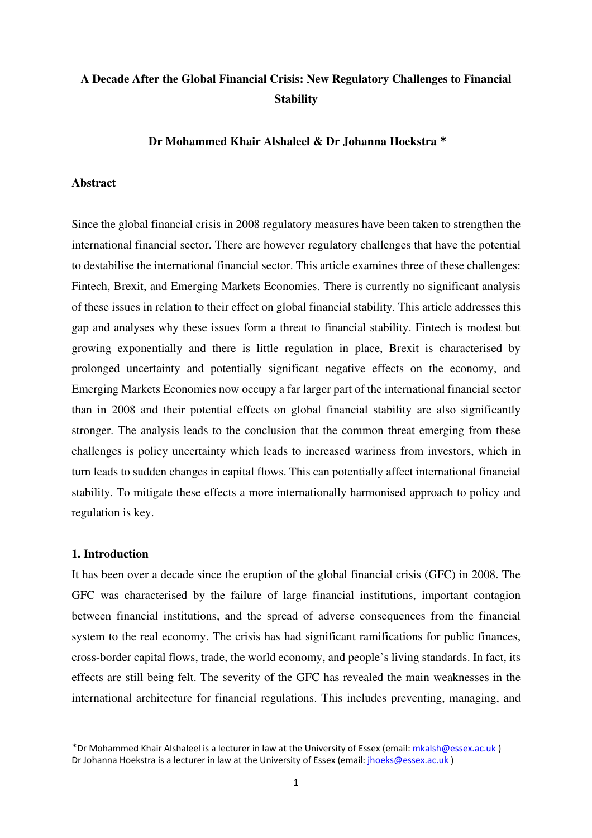# **A Decade After the Global Financial Crisis: New Regulatory Challenges to Financial Stability**

## **Dr Mohammed Khair Alshaleel & Dr Johanna Hoekstra** <sup>∗</sup>

## **Abstract**

Since the global financial crisis in 2008 regulatory measures have been taken to strengthen the international financial sector. There are however regulatory challenges that have the potential to destabilise the international financial sector. This article examines three of these challenges: Fintech, Brexit, and Emerging Markets Economies. There is currently no significant analysis of these issues in relation to their effect on global financial stability. This article addresses this gap and analyses why these issues form a threat to financial stability. Fintech is modest but growing exponentially and there is little regulation in place, Brexit is characterised by prolonged uncertainty and potentially significant negative effects on the economy, and Emerging Markets Economies now occupy a far larger part of the international financial sector than in 2008 and their potential effects on global financial stability are also significantly stronger. The analysis leads to the conclusion that the common threat emerging from these challenges is policy uncertainty which leads to increased wariness from investors, which in turn leads to sudden changes in capital flows. This can potentially affect international financial stability. To mitigate these effects a more internationally harmonised approach to policy and regulation is key.

## **1. Introduction**

It has been over a decade since the eruption of the global financial crisis (GFC) in 2008. The GFC was characterised by the failure of large financial institutions, important contagion between financial institutions, and the spread of adverse consequences from the financial system to the real economy. The crisis has had significant ramifications for public finances, cross-border capital flows, trade, the world economy, and people's living standards. In fact, its effects are still being felt. The severity of the GFC has revealed the main weaknesses in the international architecture for financial regulations. This includes preventing, managing, and

<sup>∗</sup> Dr Mohammed Khair Alshaleel is a lecturer in law at the University of Essex (email: mkalsh@essex.ac.uk ) Dr Johanna Hoekstra is a lecturer in law at the University of Essex (email: ihoeks@essex.ac.uk)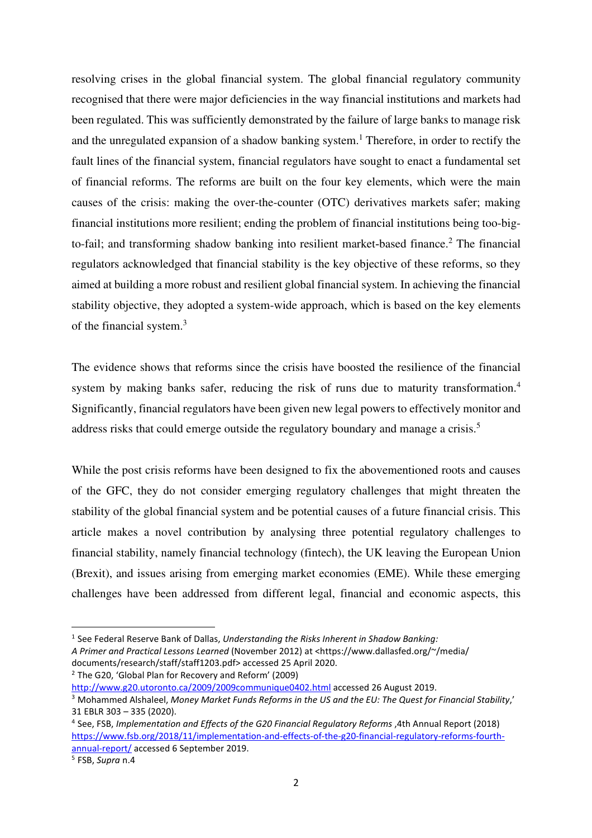resolving crises in the global financial system. The global financial regulatory community recognised that there were major deficiencies in the way financial institutions and markets had been regulated. This was sufficiently demonstrated by the failure of large banks to manage risk and the unregulated expansion of a shadow banking system.<sup>1</sup> Therefore, in order to rectify the fault lines of the financial system, financial regulators have sought to enact a fundamental set of financial reforms. The reforms are built on the four key elements, which were the main causes of the crisis: making the over-the-counter (OTC) derivatives markets safer; making financial institutions more resilient; ending the problem of financial institutions being too-bigto-fail; and transforming shadow banking into resilient market-based finance.<sup>2</sup> The financial regulators acknowledged that financial stability is the key objective of these reforms, so they aimed at building a more robust and resilient global financial system. In achieving the financial stability objective, they adopted a system-wide approach, which is based on the key elements of the financial system.<sup>3</sup>

The evidence shows that reforms since the crisis have boosted the resilience of the financial system by making banks safer, reducing the risk of runs due to maturity transformation.<sup>4</sup> Significantly, financial regulators have been given new legal powers to effectively monitor and address risks that could emerge outside the regulatory boundary and manage a crisis.<sup>5</sup>

While the post crisis reforms have been designed to fix the abovementioned roots and causes of the GFC, they do not consider emerging regulatory challenges that might threaten the stability of the global financial system and be potential causes of a future financial crisis. This article makes a novel contribution by analysing three potential regulatory challenges to financial stability, namely financial technology (fintech), the UK leaving the European Union (Brexit), and issues arising from emerging market economies (EME). While these emerging challenges have been addressed from different legal, financial and economic aspects, this

<sup>2</sup> The G20, 'Global Plan for Recovery and Reform' (2009)

http://www.g20.utoronto.ca/2009/2009communique0402.html accessed 26 August 2019.

<sup>1</sup> See Federal Reserve Bank of Dallas, *Understanding the Risks Inherent in Shadow Banking: A Primer and Practical Lessons Learned* (November 2012) at <https://www.dallasfed.org/~/media/ documents/research/staff/staff1203.pdf> accessed 25 April 2020.

<sup>3</sup> Mohammed Alshaleel, *Money Market Funds Reforms in the US and the EU: The Quest for Financial Stability*,' 31 EBLR 303 – 335 (2020).

<sup>4</sup> See, FSB, *Implementation and Effects of the G20 Financial Regulatory Reforms* ,4th Annual Report (2018) https://www.fsb.org/2018/11/implementation-and-effects-of-the-g20-financial-regulatory-reforms-fourthannual-report/ accessed 6 September 2019.

<sup>5</sup> FSB, *Supra* n.4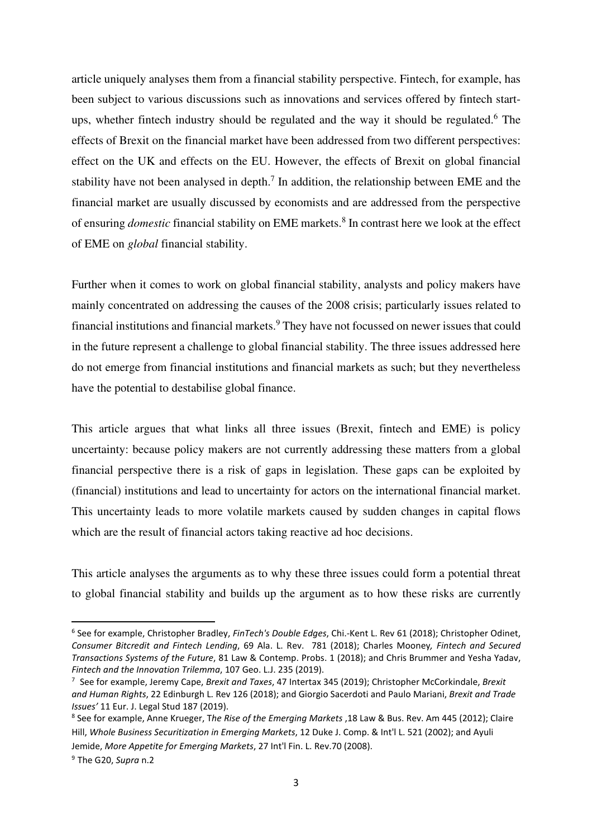article uniquely analyses them from a financial stability perspective. Fintech, for example, has been subject to various discussions such as innovations and services offered by fintech startups, whether fintech industry should be regulated and the way it should be regulated.<sup>6</sup> The effects of Brexit on the financial market have been addressed from two different perspectives: effect on the UK and effects on the EU. However, the effects of Brexit on global financial stability have not been analysed in depth.<sup>7</sup> In addition, the relationship between EME and the financial market are usually discussed by economists and are addressed from the perspective of ensuring *domestic* financial stability on EME markets.<sup>8</sup> In contrast here we look at the effect of EME on *global* financial stability.

Further when it comes to work on global financial stability, analysts and policy makers have mainly concentrated on addressing the causes of the 2008 crisis; particularly issues related to financial institutions and financial markets.<sup>9</sup> They have not focussed on newer issues that could in the future represent a challenge to global financial stability. The three issues addressed here do not emerge from financial institutions and financial markets as such; but they nevertheless have the potential to destabilise global finance.

This article argues that what links all three issues (Brexit, fintech and EME) is policy uncertainty: because policy makers are not currently addressing these matters from a global financial perspective there is a risk of gaps in legislation. These gaps can be exploited by (financial) institutions and lead to uncertainty for actors on the international financial market. This uncertainty leads to more volatile markets caused by sudden changes in capital flows which are the result of financial actors taking reactive ad hoc decisions.

This article analyses the arguments as to why these three issues could form a potential threat to global financial stability and builds up the argument as to how these risks are currently

<sup>6</sup> See for example, Christopher Bradley, *FinTech's Double Edges*, Chi.-Kent L. Rev 61 (2018); Christopher Odinet, *Consumer Bitcredit and Fintech Lending*, 69 Ala. L. Rev. 781 (2018); Charles Mooney*, Fintech and Secured Transactions Systems of the Future*, 81 Law & Contemp. Probs. 1 (2018); and Chris Brummer and Yesha Yadav, *Fintech and the Innovation Trilemma*, 107 Geo. L.J. 235 (2019).

<sup>7</sup> See for example, Jeremy Cape, *Brexit and Taxes*, 47 Intertax 345 (2019); Christopher McCorkindale, *Brexit and Human Rights*, 22 Edinburgh L. Rev 126 (2018); and Giorgio Sacerdoti and Paulo Mariani, *Brexit and Trade Issues'* 11 Eur. J. Legal Stud 187 (2019).

<sup>8</sup> See for example, Anne Krueger, T*he Rise of the Emerging Markets* ,18 Law & Bus. Rev. Am 445 (2012); Claire Hill, *Whole Business Securitization in Emerging Markets*, 12 Duke J. Comp. & Int'l L. 521 (2002); and Ayuli Jemide, *More Appetite for Emerging Markets*, 27 Int'l Fin. L. Rev.70 (2008).

<sup>9</sup> The G20, *Supra* n.2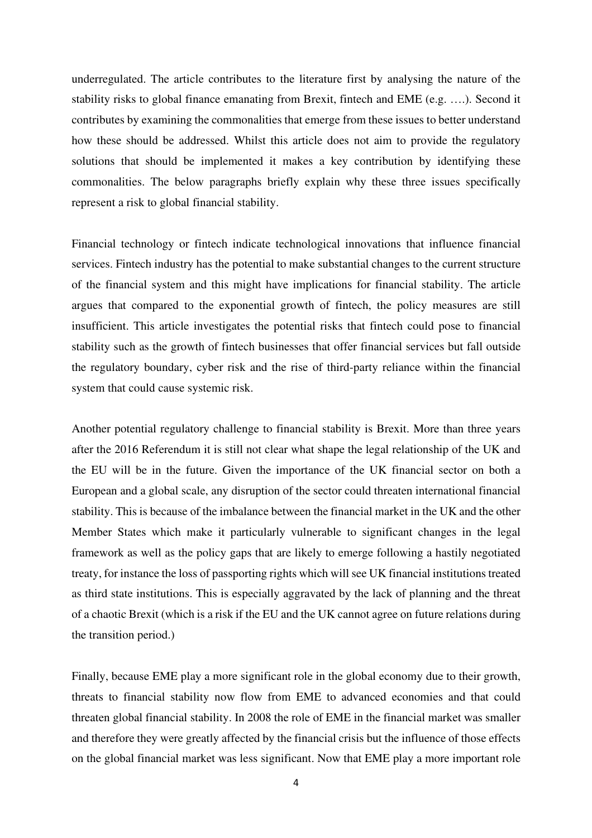underregulated. The article contributes to the literature first by analysing the nature of the stability risks to global finance emanating from Brexit, fintech and EME (e.g. ….). Second it contributes by examining the commonalities that emerge from these issues to better understand how these should be addressed. Whilst this article does not aim to provide the regulatory solutions that should be implemented it makes a key contribution by identifying these commonalities. The below paragraphs briefly explain why these three issues specifically represent a risk to global financial stability.

Financial technology or fintech indicate technological innovations that influence financial services. Fintech industry has the potential to make substantial changes to the current structure of the financial system and this might have implications for financial stability. The article argues that compared to the exponential growth of fintech, the policy measures are still insufficient. This article investigates the potential risks that fintech could pose to financial stability such as the growth of fintech businesses that offer financial services but fall outside the regulatory boundary, cyber risk and the rise of third-party reliance within the financial system that could cause systemic risk.

Another potential regulatory challenge to financial stability is Brexit. More than three years after the 2016 Referendum it is still not clear what shape the legal relationship of the UK and the EU will be in the future. Given the importance of the UK financial sector on both a European and a global scale, any disruption of the sector could threaten international financial stability. This is because of the imbalance between the financial market in the UK and the other Member States which make it particularly vulnerable to significant changes in the legal framework as well as the policy gaps that are likely to emerge following a hastily negotiated treaty, for instance the loss of passporting rights which will see UK financial institutions treated as third state institutions. This is especially aggravated by the lack of planning and the threat of a chaotic Brexit (which is a risk if the EU and the UK cannot agree on future relations during the transition period.)

Finally, because EME play a more significant role in the global economy due to their growth, threats to financial stability now flow from EME to advanced economies and that could threaten global financial stability. In 2008 the role of EME in the financial market was smaller and therefore they were greatly affected by the financial crisis but the influence of those effects on the global financial market was less significant. Now that EME play a more important role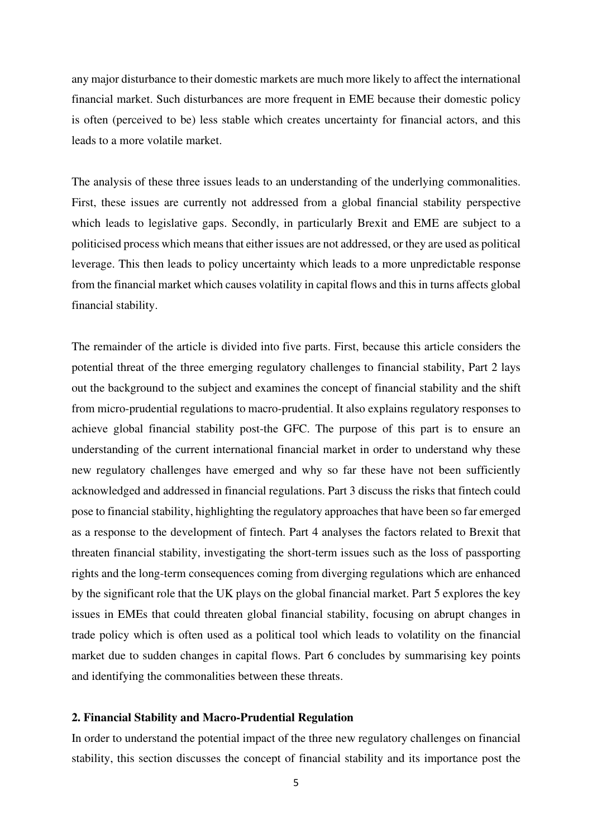any major disturbance to their domestic markets are much more likely to affect the international financial market. Such disturbances are more frequent in EME because their domestic policy is often (perceived to be) less stable which creates uncertainty for financial actors, and this leads to a more volatile market.

The analysis of these three issues leads to an understanding of the underlying commonalities. First, these issues are currently not addressed from a global financial stability perspective which leads to legislative gaps. Secondly, in particularly Brexit and EME are subject to a politicised process which means that either issues are not addressed, or they are used as political leverage. This then leads to policy uncertainty which leads to a more unpredictable response from the financial market which causes volatility in capital flows and this in turns affects global financial stability.

The remainder of the article is divided into five parts. First, because this article considers the potential threat of the three emerging regulatory challenges to financial stability, Part 2 lays out the background to the subject and examines the concept of financial stability and the shift from micro-prudential regulations to macro-prudential. It also explains regulatory responses to achieve global financial stability post-the GFC. The purpose of this part is to ensure an understanding of the current international financial market in order to understand why these new regulatory challenges have emerged and why so far these have not been sufficiently acknowledged and addressed in financial regulations. Part 3 discuss the risks that fintech could pose to financial stability, highlighting the regulatory approaches that have been so far emerged as a response to the development of fintech. Part 4 analyses the factors related to Brexit that threaten financial stability, investigating the short-term issues such as the loss of passporting rights and the long-term consequences coming from diverging regulations which are enhanced by the significant role that the UK plays on the global financial market. Part 5 explores the key issues in EMEs that could threaten global financial stability, focusing on abrupt changes in trade policy which is often used as a political tool which leads to volatility on the financial market due to sudden changes in capital flows. Part 6 concludes by summarising key points and identifying the commonalities between these threats.

#### **2. Financial Stability and Macro-Prudential Regulation**

In order to understand the potential impact of the three new regulatory challenges on financial stability, this section discusses the concept of financial stability and its importance post the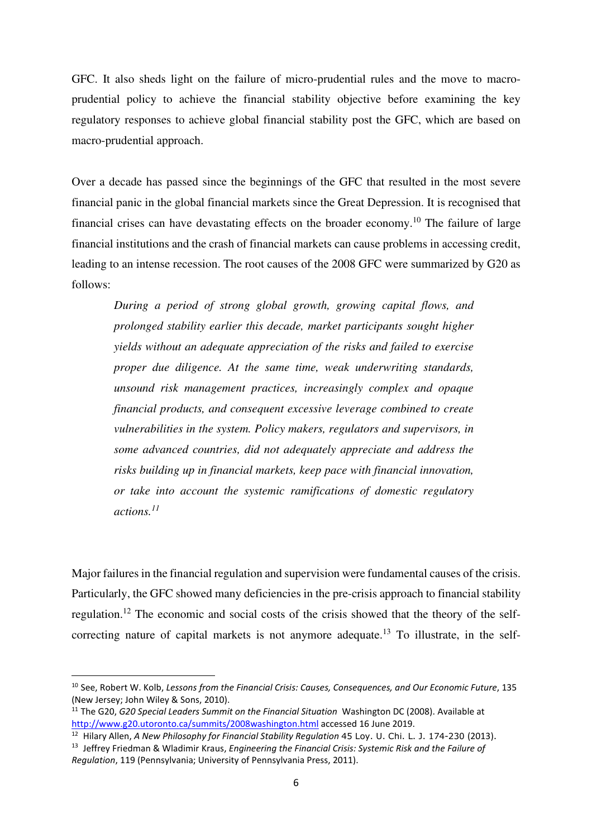GFC. It also sheds light on the failure of micro-prudential rules and the move to macroprudential policy to achieve the financial stability objective before examining the key regulatory responses to achieve global financial stability post the GFC, which are based on macro-prudential approach.

Over a decade has passed since the beginnings of the GFC that resulted in the most severe financial panic in the global financial markets since the Great Depression. It is recognised that financial crises can have devastating effects on the broader economy.<sup>10</sup> The failure of large financial institutions and the crash of financial markets can cause problems in accessing credit, leading to an intense recession. The root causes of the 2008 GFC were summarized by G20 as follows:

*During a period of strong global growth, growing capital flows, and prolonged stability earlier this decade, market participants sought higher yields without an adequate appreciation of the risks and failed to exercise proper due diligence. At the same time, weak underwriting standards, unsound risk management practices, increasingly complex and opaque financial products, and consequent excessive leverage combined to create vulnerabilities in the system. Policy makers, regulators and supervisors, in some advanced countries, did not adequately appreciate and address the risks building up in financial markets, keep pace with financial innovation, or take into account the systemic ramifications of domestic regulatory actions.<sup>11</sup>*

Major failures in the financial regulation and supervision were fundamental causes of the crisis. Particularly, the GFC showed many deficiencies in the pre-crisis approach to financial stability regulation.<sup>12</sup> The economic and social costs of the crisis showed that the theory of the selfcorrecting nature of capital markets is not anymore adequate.<sup>13</sup> To illustrate, in the self-

<sup>10</sup> See, Robert W. Kolb, *Lessons from the Financial Crisis: Causes, Consequences, and Our Economic Future*, 135 (New Jersey; John Wiley & Sons, 2010).

<sup>11</sup> The G20, *G20 Special Leaders Summit on the Financial Situation* Washington DC (2008). Available at http://www.g20.utoronto.ca/summits/2008washington.html accessed 16 June 2019.

<sup>12</sup> Hilary Allen, *A New Philosophy for Financial Stability Regulation* 45 Loy. U. Chi. L. J. 174-230 (2013).

<sup>13</sup> Jeffrey Friedman & Wladimir Kraus, *Engineering the Financial Crisis: Systemic Risk and the Failure of Regulation*, 119 (Pennsylvania; University of Pennsylvania Press, 2011).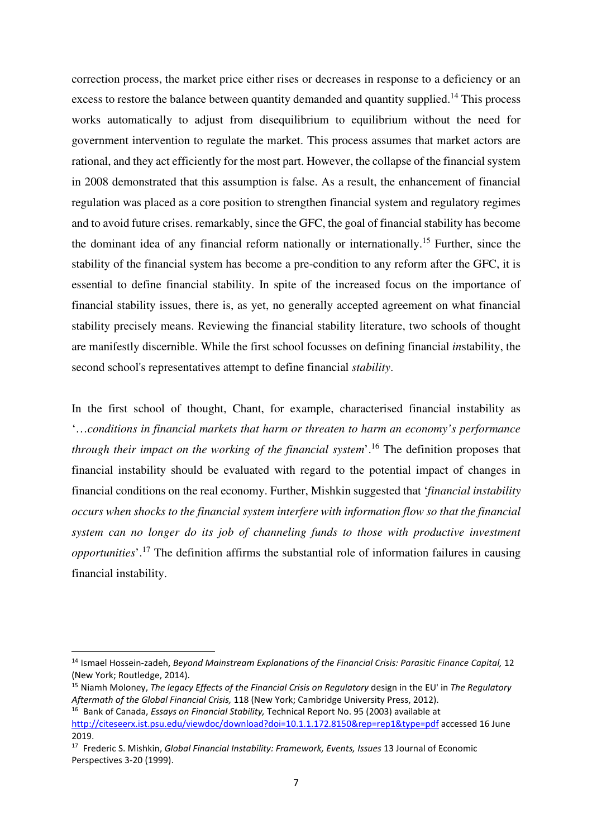correction process, the market price either rises or decreases in response to a deficiency or an excess to restore the balance between quantity demanded and quantity supplied.<sup>14</sup> This process works automatically to adjust from disequilibrium to equilibrium without the need for government intervention to regulate the market. This process assumes that market actors are rational, and they act efficiently for the most part. However, the collapse of the financial system in 2008 demonstrated that this assumption is false. As a result, the enhancement of financial regulation was placed as a core position to strengthen financial system and regulatory regimes and to avoid future crises. remarkably, since the GFC, the goal of financial stability has become the dominant idea of any financial reform nationally or internationally.<sup>15</sup> Further, since the stability of the financial system has become a pre-condition to any reform after the GFC, it is essential to define financial stability. In spite of the increased focus on the importance of financial stability issues, there is, as yet, no generally accepted agreement on what financial stability precisely means. Reviewing the financial stability literature, two schools of thought are manifestly discernible. While the first school focusses on defining financial *in*stability, the second school's representatives attempt to define financial *stability*.

In the first school of thought, Chant, for example, characterised financial instability as '…*conditions in financial markets that harm or threaten to harm an economy's performance through their impact on the working of the financial system*'.<sup>16</sup> The definition proposes that financial instability should be evaluated with regard to the potential impact of changes in financial conditions on the real economy. Further, Mishkin suggested that '*financial instability occurs when shocks to the financial system interfere with information flow so that the financial system can no longer do its job of channeling funds to those with productive investment opportunities*'.<sup>17</sup> The definition affirms the substantial role of information failures in causing financial instability.

<sup>14</sup> Ismael Hossein-zadeh, *Beyond Mainstream Explanations of the Financial Crisis: Parasitic Finance Capital,* 12 (New York; Routledge, 2014).

<sup>15</sup> Niamh Moloney, *The legacy Effects of the Financial Crisis on Regulatory* design in the EU' in *The Regulatory Aftermath of the Global Financial Crisis,* 118 (New York; Cambridge University Press, 2012).

<sup>16</sup> Bank of Canada, *Essays on Financial Stability,* Technical Report No. 95 (2003) available at http://citeseerx.ist.psu.edu/viewdoc/download?doi=10.1.1.172.8150&rep=rep1&type=pdf accessed 16 June 2019.

<sup>17</sup> Frederic S. Mishkin, *Global Financial Instability: Framework, Events, Issues* 13 Journal of Economic Perspectives 3-20 (1999).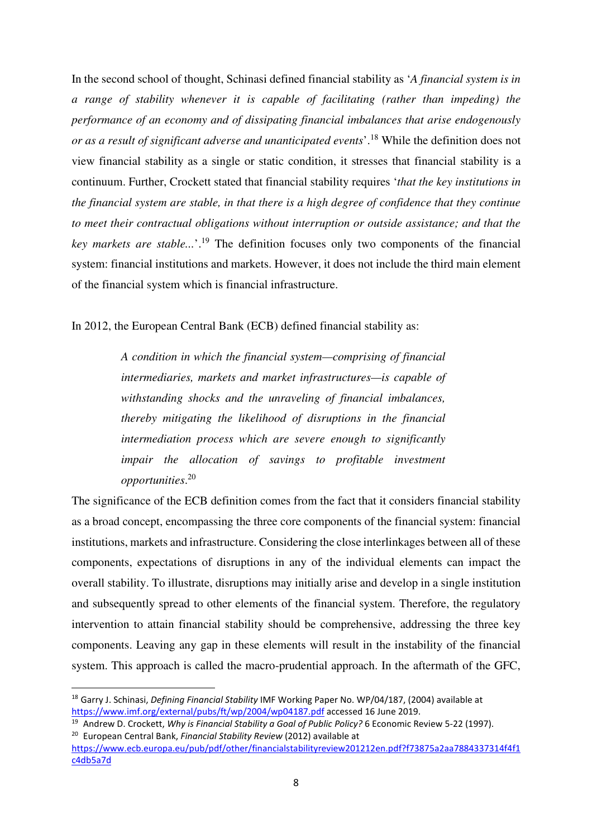In the second school of thought, Schinasi defined financial stability as '*A financial system is in a range of stability whenever it is capable of facilitating (rather than impeding) the performance of an economy and of dissipating financial imbalances that arise endogenously or as a result of significant adverse and unanticipated events*'.<sup>18</sup> While the definition does not view financial stability as a single or static condition, it stresses that financial stability is a continuum. Further, Crockett stated that financial stability requires '*that the key institutions in the financial system are stable, in that there is a high degree of confidence that they continue to meet their contractual obligations without interruption or outside assistance; and that the key markets are stable...*'.<sup>19</sup> The definition focuses only two components of the financial system: financial institutions and markets. However, it does not include the third main element of the financial system which is financial infrastructure.

In 2012, the European Central Bank (ECB) defined financial stability as:

*A condition in which the financial system—comprising of financial intermediaries, markets and market infrastructures—is capable of withstanding shocks and the unraveling of financial imbalances, thereby mitigating the likelihood of disruptions in the financial intermediation process which are severe enough to significantly impair the allocation of savings to profitable investment opportunities*. 20

The significance of the ECB definition comes from the fact that it considers financial stability as a broad concept, encompassing the three core components of the financial system: financial institutions, markets and infrastructure. Considering the close interlinkages between all of these components, expectations of disruptions in any of the individual elements can impact the overall stability. To illustrate, disruptions may initially arise and develop in a single institution and subsequently spread to other elements of the financial system. Therefore, the regulatory intervention to attain financial stability should be comprehensive, addressing the three key components. Leaving any gap in these elements will result in the instability of the financial system. This approach is called the macro-prudential approach. In the aftermath of the GFC,

<sup>18</sup> Garry J. Schinasi, *Defining Financial Stability* IMF Working Paper No. WP/04/187, (2004) available at https://www.imf.org/external/pubs/ft/wp/2004/wp04187.pdf accessed 16 June 2019.

<sup>19</sup> Andrew D. Crockett, *Why is Financial Stability a Goal of Public Policy?* 6 Economic Review 5-22 (1997). <sup>20</sup> European Central Bank, *Financial Stability Review* (2012) available at

https://www.ecb.europa.eu/pub/pdf/other/financialstabilityreview201212en.pdf?f73875a2aa7884337314f4f1 c4db5a7d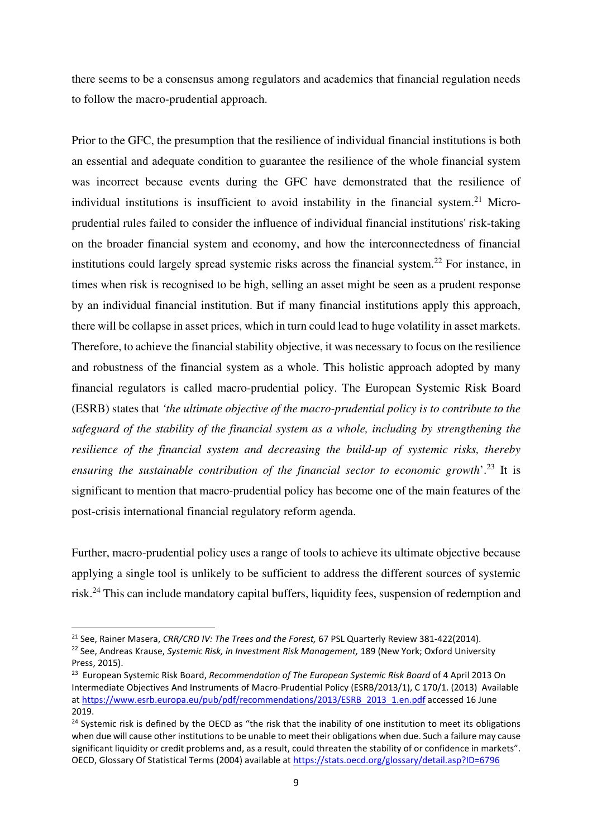there seems to be a consensus among regulators and academics that financial regulation needs to follow the macro-prudential approach.

Prior to the GFC, the presumption that the resilience of individual financial institutions is both an essential and adequate condition to guarantee the resilience of the whole financial system was incorrect because events during the GFC have demonstrated that the resilience of individual institutions is insufficient to avoid instability in the financial system.<sup>21</sup> Microprudential rules failed to consider the influence of individual financial institutions' risk-taking on the broader financial system and economy, and how the interconnectedness of financial institutions could largely spread systemic risks across the financial system.<sup>22</sup> For instance, in times when risk is recognised to be high, selling an asset might be seen as a prudent response by an individual financial institution. But if many financial institutions apply this approach, there will be collapse in asset prices, which in turn could lead to huge volatility in asset markets. Therefore, to achieve the financial stability objective, it was necessary to focus on the resilience and robustness of the financial system as a whole. This holistic approach adopted by many financial regulators is called macro-prudential policy. The European Systemic Risk Board (ESRB) states that *'the ultimate objective of the macro-prudential policy is to contribute to the safeguard of the stability of the financial system as a whole, including by strengthening the resilience of the financial system and decreasing the build-up of systemic risks, thereby ensuring the sustainable contribution of the financial sector to economic growth*'.<sup>23</sup> It is significant to mention that macro-prudential policy has become one of the main features of the post-crisis international financial regulatory reform agenda.

Further, macro-prudential policy uses a range of tools to achieve its ultimate objective because applying a single tool is unlikely to be sufficient to address the different sources of systemic risk.<sup>24</sup> This can include mandatory capital buffers, liquidity fees, suspension of redemption and

<sup>21</sup> See, Rainer Masera, *CRR/CRD IV: The Trees and the Forest,* 67 PSL Quarterly Review 381-422(2014).

<sup>22</sup> See, Andreas Krause, *Systemic Risk, in Investment Risk Management,* 189 (New York; Oxford University Press, 2015).

<sup>23</sup> European Systemic Risk Board, *Recommendation of The European Systemic Risk Board* of 4 April 2013 On Intermediate Objectives And Instruments of Macro-Prudential Policy (ESRB/2013/1), C 170/1. (2013) Available at https://www.esrb.europa.eu/pub/pdf/recommendations/2013/ESRB\_2013\_1.en.pdf accessed 16 June 2019.

<sup>&</sup>lt;sup>24</sup> Systemic risk is defined by the OECD as "the risk that the inability of one institution to meet its obligations when due will cause other institutions to be unable to meet their obligations when due. Such a failure may cause significant liquidity or credit problems and, as a result, could threaten the stability of or confidence in markets". OECD, Glossary Of Statistical Terms (2004) available at https://stats.oecd.org/glossary/detail.asp?ID=6796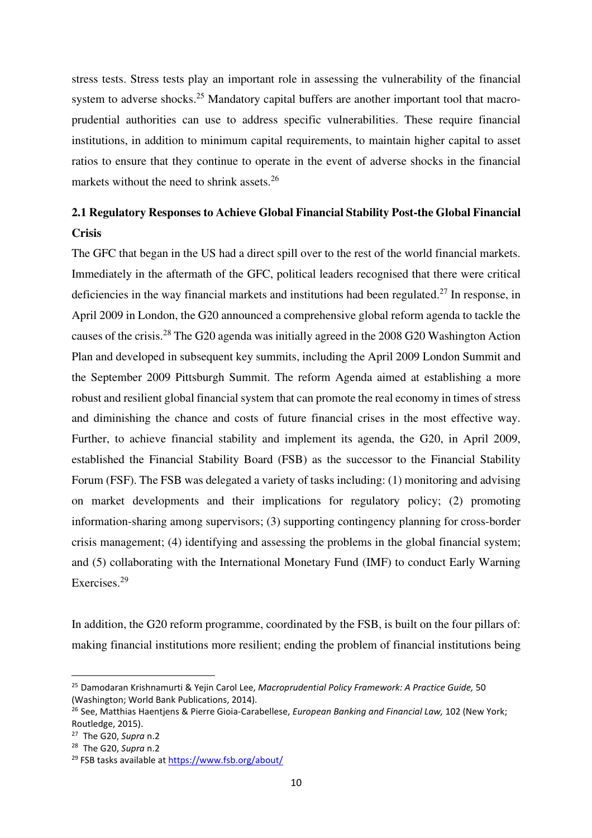stress tests. Stress tests play an important role in assessing the vulnerability of the financial system to adverse shocks.<sup>25</sup> Mandatory capital buffers are another important tool that macroprudential authorities can use to address specific vulnerabilities. These require financial institutions, in addition to minimum capital requirements, to maintain higher capital to asset ratios to ensure that they continue to operate in the event of adverse shocks in the financial markets without the need to shrink assets.<sup>26</sup>

# **2.1 Regulatory Responses to Achieve Global Financial Stability Post-the Global Financial Crisis**

The GFC that began in the US had a direct spill over to the rest of the world financial markets. Immediately in the aftermath of the GFC, political leaders recognised that there were critical deficiencies in the way financial markets and institutions had been regulated.<sup>27</sup> In response, in April 2009 in London, the G20 announced a comprehensive global reform agenda to tackle the causes of the crisis.<sup>28</sup> The G20 agenda was initially agreed in the 2008 G20 Washington Action Plan and developed in subsequent key summits, including the April 2009 London Summit and the September 2009 Pittsburgh Summit. The reform Agenda aimed at establishing a more robust and resilient global financial system that can promote the real economy in times of stress and diminishing the chance and costs of future financial crises in the most effective way. Further, to achieve financial stability and implement its agenda, the G20, in April 2009, established the Financial Stability Board (FSB) as the successor to the Financial Stability Forum (FSF). The FSB was delegated a variety of tasks including: (1) monitoring and advising on market developments and their implications for regulatory policy; (2) promoting information-sharing among supervisors; (3) supporting contingency planning for cross-border crisis management; (4) identifying and assessing the problems in the global financial system; and (5) collaborating with the International Monetary Fund (IMF) to conduct Early Warning Exercises.<sup>29</sup>

In addition, the G20 reform programme, coordinated by the FSB, is built on the four pillars of: making financial institutions more resilient; ending the problem of financial institutions being

<sup>25</sup> Damodaran Krishnamurti & Yejin Carol Lee, *Macroprudential Policy Framework: A Practice Guide,* 50 (Washington; World Bank Publications, 2014).

<sup>26</sup> See, Matthias Haentjens & Pierre Gioia-Carabellese, *European Banking and Financial Law,* 102 (New York; Routledge, 2015).

<sup>27</sup> The G20, *Supra* n.2

<sup>28</sup> The G20, *Supra* n.2

<sup>29</sup> FSB tasks available at https://www.fsb.org/about/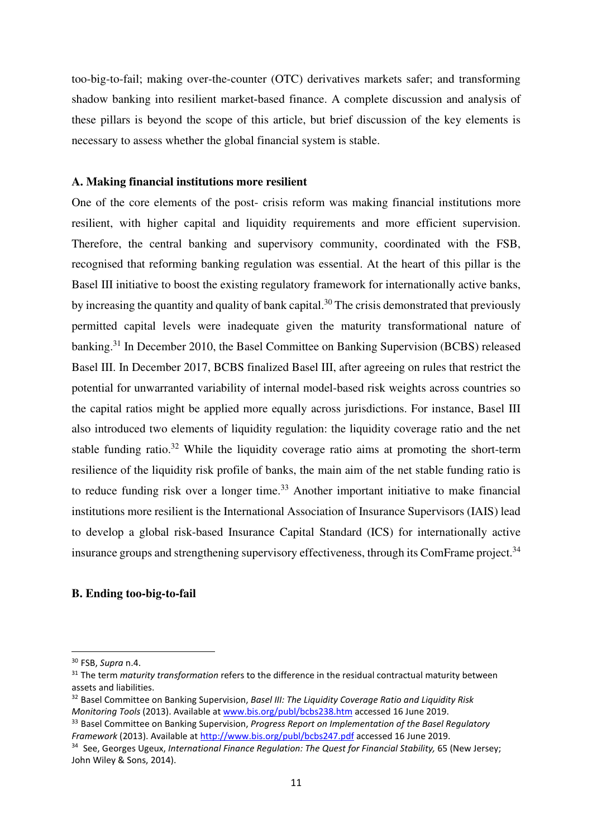too-big-to-fail; making over-the-counter (OTC) derivatives markets safer; and transforming shadow banking into resilient market-based finance. A complete discussion and analysis of these pillars is beyond the scope of this article, but brief discussion of the key elements is necessary to assess whether the global financial system is stable.

#### **A. Making financial institutions more resilient**

One of the core elements of the post- crisis reform was making financial institutions more resilient, with higher capital and liquidity requirements and more efficient supervision. Therefore, the central banking and supervisory community, coordinated with the FSB, recognised that reforming banking regulation was essential. At the heart of this pillar is the Basel III initiative to boost the existing regulatory framework for internationally active banks, by increasing the quantity and quality of bank capital.<sup>30</sup> The crisis demonstrated that previously permitted capital levels were inadequate given the maturity transformational nature of banking.<sup>31</sup> In December 2010, the Basel Committee on Banking Supervision (BCBS) released Basel III. In December 2017, BCBS finalized Basel III, after agreeing on rules that restrict the potential for unwarranted variability of internal model-based risk weights across countries so the capital ratios might be applied more equally across jurisdictions. For instance, Basel III also introduced two elements of liquidity regulation: the liquidity coverage ratio and the net stable funding ratio.<sup>32</sup> While the liquidity coverage ratio aims at promoting the short-term resilience of the liquidity risk profile of banks, the main aim of the net stable funding ratio is to reduce funding risk over a longer time.<sup>33</sup> Another important initiative to make financial institutions more resilient is the International Association of Insurance Supervisors (IAIS) lead to develop a global risk-based Insurance Capital Standard (ICS) for internationally active insurance groups and strengthening supervisory effectiveness, through its ComFrame project.<sup>34</sup>

## **B. Ending too-big-to-fail**

<sup>30</sup> FSB, *Supra* n.4.

<sup>&</sup>lt;sup>31</sup> The term *maturity transformation* refers to the difference in the residual contractual maturity between assets and liabilities.

<sup>32</sup> Basel Committee on Banking Supervision, *Basel III: The Liquidity Coverage Ratio and Liquidity Risk Monitoring Tools* (2013). Available at www.bis.org/publ/bcbs238.htm accessed 16 June 2019.

<sup>33</sup> Basel Committee on Banking Supervision, *Progress Report on Implementation of the Basel Regulatory Framework* (2013). Available at http://www.bis.org/publ/bcbs247.pdf accessed 16 June 2019.

<sup>34</sup> See, Georges Ugeux, *International Finance Regulation: The Quest for Financial Stability,* 65 (New Jersey; John Wiley & Sons, 2014).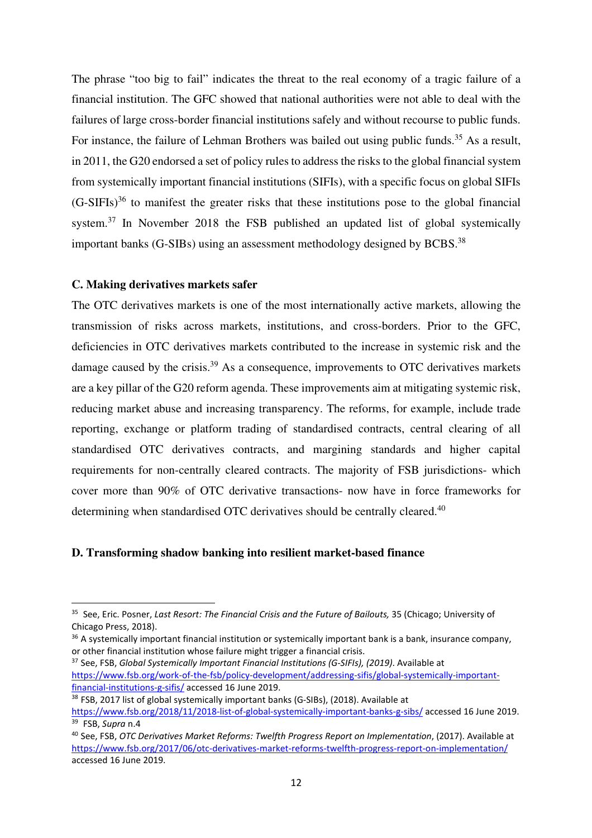The phrase "too big to fail" indicates the threat to the real economy of a tragic failure of a financial institution. The GFC showed that national authorities were not able to deal with the failures of large cross-border financial institutions safely and without recourse to public funds. For instance, the failure of Lehman Brothers was bailed out using public funds.<sup>35</sup> As a result, in 2011, the G20 endorsed a set of policy rules to address the risks to the global financial system from systemically important financial institutions (SIFIs), with a specific focus on global SIFIs  $(G-SIFIs)<sup>36</sup>$  to manifest the greater risks that these institutions pose to the global financial system.<sup>37</sup> In November 2018 the FSB published an updated list of global systemically important banks (G-SIBs) using an assessment methodology designed by BCBS.<sup>38</sup>

### **C. Making derivatives markets safer**

The OTC derivatives markets is one of the most internationally active markets, allowing the transmission of risks across markets, institutions, and cross-borders. Prior to the GFC, deficiencies in OTC derivatives markets contributed to the increase in systemic risk and the damage caused by the crisis.<sup>39</sup> As a consequence, improvements to OTC derivatives markets are a key pillar of the G20 reform agenda. These improvements aim at mitigating systemic risk, reducing market abuse and increasing transparency. The reforms, for example, include trade reporting, exchange or platform trading of standardised contracts, central clearing of all standardised OTC derivatives contracts, and margining standards and higher capital requirements for non-centrally cleared contracts. The majority of FSB jurisdictions- which cover more than 90% of OTC derivative transactions- now have in force frameworks for determining when standardised OTC derivatives should be centrally cleared.<sup>40</sup>

#### **D. Transforming shadow banking into resilient market-based finance**

<sup>38</sup> FSB, 2017 list of global systemically important banks (G-SIBs), (2018). Available at

<sup>35</sup> See, Eric. Posner, *Last Resort: The Financial Crisis and the Future of Bailouts,* 35 (Chicago; University of Chicago Press, 2018).

<sup>&</sup>lt;sup>36</sup> A systemically important financial institution or systemically important bank is a bank, insurance company, or other financial institution whose failure might trigger a financial crisis.

<sup>37</sup> See, FSB, *Global Systemically Important Financial Institutions (G-SIFIs), (2019)*. Available at https://www.fsb.org/work-of-the-fsb/policy-development/addressing-sifis/global-systemically-importantfinancial-institutions-g-sifis/ accessed 16 June 2019.

https://www.fsb.org/2018/11/2018-list-of-global-systemically-important-banks-g-sibs/ accessed 16 June 2019. <sup>39</sup> FSB, *Supra* n.4

<sup>40</sup> See, FSB, *OTC Derivatives Market Reforms: Twelfth Progress Report on Implementation*, (2017). Available at https://www.fsb.org/2017/06/otc-derivatives-market-reforms-twelfth-progress-report-on-implementation/ accessed 16 June 2019.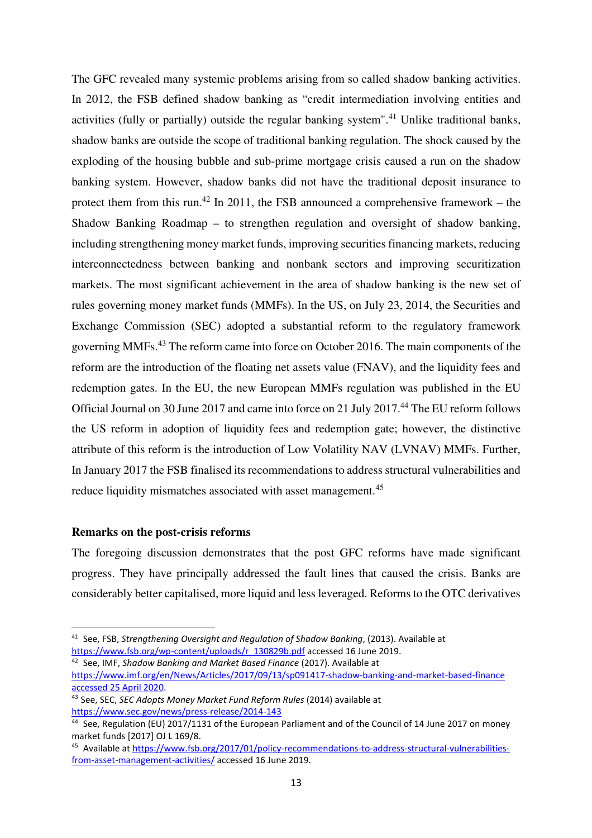The GFC revealed many systemic problems arising from so called shadow banking activities. In 2012, the FSB defined shadow banking as "credit intermediation involving entities and activities (fully or partially) outside the regular banking system".<sup>41</sup> Unlike traditional banks, shadow banks are outside the scope of traditional banking regulation. The shock caused by the exploding of the housing bubble and sub-prime mortgage crisis caused a run on the shadow banking system. However, shadow banks did not have the traditional deposit insurance to protect them from this run.<sup>42</sup> In 2011, the FSB announced a comprehensive framework – the Shadow Banking Roadmap – to strengthen regulation and oversight of shadow banking, including strengthening money market funds, improving securities financing markets, reducing interconnectedness between banking and nonbank sectors and improving securitization markets. The most significant achievement in the area of shadow banking is the new set of rules governing money market funds (MMFs). In the US, on July 23, 2014, the Securities and Exchange Commission (SEC) adopted a substantial reform to the regulatory framework governing MMFs.<sup>43</sup> The reform came into force on October 2016. The main components of the reform are the introduction of the floating net assets value (FNAV), and the liquidity fees and redemption gates. In the EU, the new European MMFs regulation was published in the EU Official Journal on 30 June 2017 and came into force on 21 July 2017.<sup>44</sup> The EU reform follows the US reform in adoption of liquidity fees and redemption gate; however, the distinctive attribute of this reform is the introduction of Low Volatility NAV (LVNAV) MMFs. Further, In January 2017 the FSB finalised its recommendations to address structural vulnerabilities and reduce liquidity mismatches associated with asset management.<sup>45</sup>

## **Remarks on the post-crisis reforms**

The foregoing discussion demonstrates that the post GFC reforms have made significant progress. They have principally addressed the fault lines that caused the crisis. Banks are considerably better capitalised, more liquid and less leveraged. Reforms to the OTC derivatives

<sup>42</sup> See, IMF, *Shadow Banking and Market Based Finance* (2017). Available at https://www.imf.org/en/News/Articles/2017/09/13/sp091417-shadow-banking-and-market-based-finance accessed 25 April 2020.

<sup>41</sup> See, FSB, *Strengthening Oversight and Regulation of Shadow Banking*, (2013). Available at https://www.fsb.org/wp-content/uploads/r\_130829b.pdf accessed 16 June 2019.

<sup>43</sup> See, SEC, *SEC Adopts Money Market Fund Reform Rules* (2014) available at https://www.sec.gov/news/press-release/2014-143

<sup>44</sup> See, Regulation (EU) 2017/1131 of the European Parliament and of the Council of 14 June 2017 on money market funds [2017] OJ L 169/8.

<sup>45</sup> Available at https://www.fsb.org/2017/01/policy-recommendations-to-address-structural-vulnerabilitiesfrom-asset-management-activities/ accessed 16 June 2019.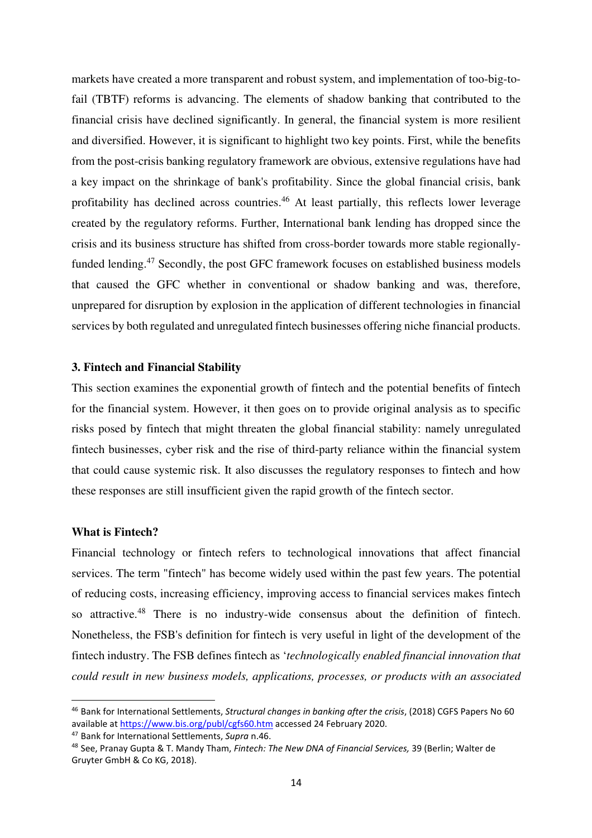markets have created a more transparent and robust system, and implementation of too-big-tofail (TBTF) reforms is advancing. The elements of shadow banking that contributed to the financial crisis have declined significantly. In general, the financial system is more resilient and diversified. However, it is significant to highlight two key points. First, while the benefits from the post-crisis banking regulatory framework are obvious, extensive regulations have had a key impact on the shrinkage of bank's profitability. Since the global financial crisis, bank profitability has declined across countries.<sup>46</sup> At least partially, this reflects lower leverage created by the regulatory reforms. Further, International bank lending has dropped since the crisis and its business structure has shifted from cross-border towards more stable regionallyfunded lending.<sup>47</sup> Secondly, the post GFC framework focuses on established business models that caused the GFC whether in conventional or shadow banking and was, therefore, unprepared for disruption by explosion in the application of different technologies in financial services by both regulated and unregulated fintech businesses offering niche financial products.

## **3. Fintech and Financial Stability**

This section examines the exponential growth of fintech and the potential benefits of fintech for the financial system. However, it then goes on to provide original analysis as to specific risks posed by fintech that might threaten the global financial stability: namely unregulated fintech businesses, cyber risk and the rise of third-party reliance within the financial system that could cause systemic risk. It also discusses the regulatory responses to fintech and how these responses are still insufficient given the rapid growth of the fintech sector.

## **What is Fintech?**

Financial technology or fintech refers to technological innovations that affect financial services. The term "fintech" has become widely used within the past few years. The potential of reducing costs, increasing efficiency, improving access to financial services makes fintech so attractive.<sup>48</sup> There is no industry-wide consensus about the definition of fintech. Nonetheless, the FSB's definition for fintech is very useful in light of the development of the fintech industry. The FSB defines fintech as '*technologically enabled financial innovation that could result in new business models, applications, processes, or products with an associated* 

<sup>47</sup> Bank for International Settlements, *Supra* n.46.

<sup>46</sup> Bank for International Settlements, *Structural changes in banking after the crisis*, (2018) CGFS Papers No 60 available at https://www.bis.org/publ/cgfs60.htm accessed 24 February 2020.

<sup>48</sup> See, Pranay Gupta & T. Mandy Tham, *Fintech: The New DNA of Financial Services,* 39 (Berlin; Walter de Gruyter GmbH & Co KG, 2018).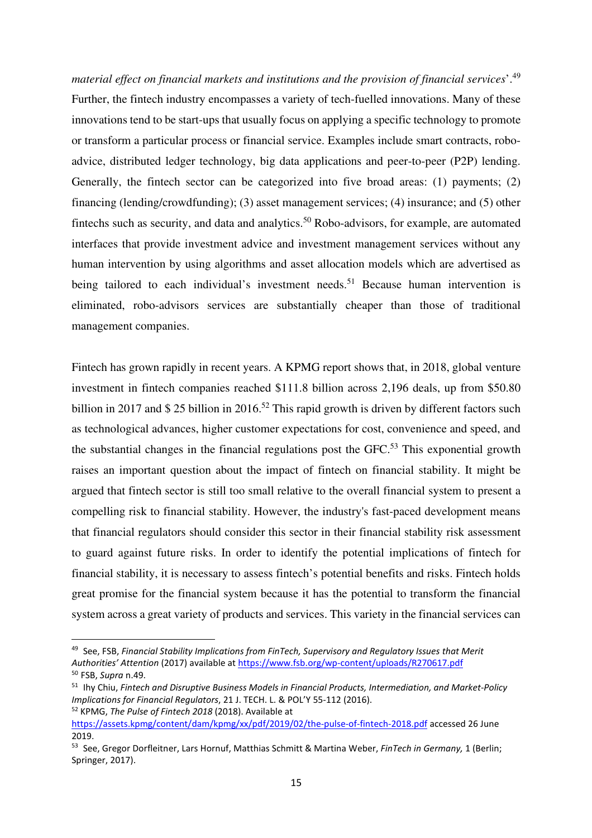*material effect on financial markets and institutions and the provision of financial services*'.<sup>49</sup> Further, the fintech industry encompasses a variety of tech-fuelled innovations. Many of these innovations tend to be start-ups that usually focus on applying a specific technology to promote or transform a particular process or financial service. Examples include smart contracts, roboadvice, distributed ledger technology, big data applications and peer-to-peer (P2P) lending. Generally, the fintech sector can be categorized into five broad areas: (1) payments; (2) financing (lending/crowdfunding); (3) asset management services; (4) insurance; and (5) other fintechs such as security, and data and analytics.<sup>50</sup> Robo-advisors, for example, are automated interfaces that provide investment advice and investment management services without any human intervention by using algorithms and asset allocation models which are advertised as being tailored to each individual's investment needs.<sup>51</sup> Because human intervention is eliminated, robo-advisors services are substantially cheaper than those of traditional management companies.

Fintech has grown rapidly in recent years. A KPMG report shows that, in 2018, global venture investment in fintech companies reached \$111.8 billion across 2,196 deals, up from \$50.80 billion in 2017 and \$ 25 billion in 2016.<sup>52</sup> This rapid growth is driven by different factors such as technological advances, higher customer expectations for cost, convenience and speed, and the substantial changes in the financial regulations post the  $GFC<sup>53</sup>$ . This exponential growth raises an important question about the impact of fintech on financial stability. It might be argued that fintech sector is still too small relative to the overall financial system to present a compelling risk to financial stability. However, the industry's fast-paced development means that financial regulators should consider this sector in their financial stability risk assessment to guard against future risks. In order to identify the potential implications of fintech for financial stability, it is necessary to assess fintech's potential benefits and risks. Fintech holds great promise for the financial system because it has the potential to transform the financial system across a great variety of products and services. This variety in the financial services can

<sup>49</sup> See, FSB, *Financial Stability Implications from FinTech, Supervisory and Regulatory Issues that Merit Authorities' Attention* (2017) available at https://www.fsb.org/wp-content/uploads/R270617.pdf <sup>50</sup> FSB, *Supra* n.49.

<sup>51</sup> Ihy Chiu, *Fintech and Disruptive Business Models in Financial Products, Intermediation, and Market-Policy Implications for Financial Regulators*, 21 J. TECH. L. & POL'Y 55-112 (2016). <sup>52</sup> KPMG, *The Pulse of Fintech 2018* (2018). Available at

https://assets.kpmg/content/dam/kpmg/xx/pdf/2019/02/the-pulse-of-fintech-2018.pdf accessed 26 June 2019.

<sup>53</sup> See, Gregor Dorfleitner, Lars Hornuf, Matthias Schmitt & Martina Weber, *FinTech in Germany,* 1 (Berlin; Springer, 2017).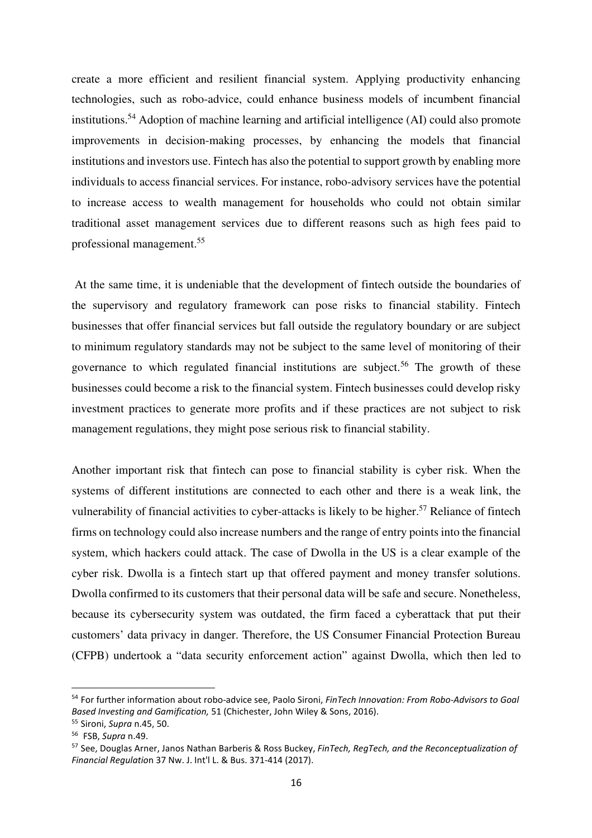create a more efficient and resilient financial system. Applying productivity enhancing technologies, such as robo-advice, could enhance business models of incumbent financial institutions.<sup>54</sup> Adoption of machine learning and artificial intelligence (AI) could also promote improvements in decision-making processes, by enhancing the models that financial institutions and investors use. Fintech has also the potential to support growth by enabling more individuals to access financial services. For instance, robo-advisory services have the potential to increase access to wealth management for households who could not obtain similar traditional asset management services due to different reasons such as high fees paid to professional management.<sup>55</sup>

 At the same time, it is undeniable that the development of fintech outside the boundaries of the supervisory and regulatory framework can pose risks to financial stability. Fintech businesses that offer financial services but fall outside the regulatory boundary or are subject to minimum regulatory standards may not be subject to the same level of monitoring of their governance to which regulated financial institutions are subject.<sup>56</sup> The growth of these businesses could become a risk to the financial system. Fintech businesses could develop risky investment practices to generate more profits and if these practices are not subject to risk management regulations, they might pose serious risk to financial stability.

Another important risk that fintech can pose to financial stability is cyber risk. When the systems of different institutions are connected to each other and there is a weak link, the vulnerability of financial activities to cyber-attacks is likely to be higher.<sup>57</sup> Reliance of fintech firms on technology could also increase numbers and the range of entry points into the financial system, which hackers could attack. The case of Dwolla in the US is a clear example of the cyber risk. Dwolla is a fintech start up that offered payment and money transfer solutions. Dwolla confirmed to its customers that their personal data will be safe and secure. Nonetheless, because its cybersecurity system was outdated, the firm faced a cyberattack that put their customers' data privacy in danger. Therefore, the US Consumer Financial Protection Bureau (CFPB) undertook a "data security enforcement action" against Dwolla, which then led to

<sup>54</sup> For further information about robo-advice see, Paolo Sironi, *FinTech Innovation: From Robo-Advisors to Goal Based Investing and Gamification,* 51 (Chichester, John Wiley & Sons, 2016).

<sup>55</sup> Sironi, *Supra* n.45, 50.

<sup>56</sup> FSB, *Supra* n.49.

<sup>57</sup> See, Douglas Arner, Janos Nathan Barberis & Ross Buckey, *FinTech, RegTech, and the Reconceptualization of Financial Regulatio*n 37 Nw. J. Int'l L. & Bus. 371-414 (2017).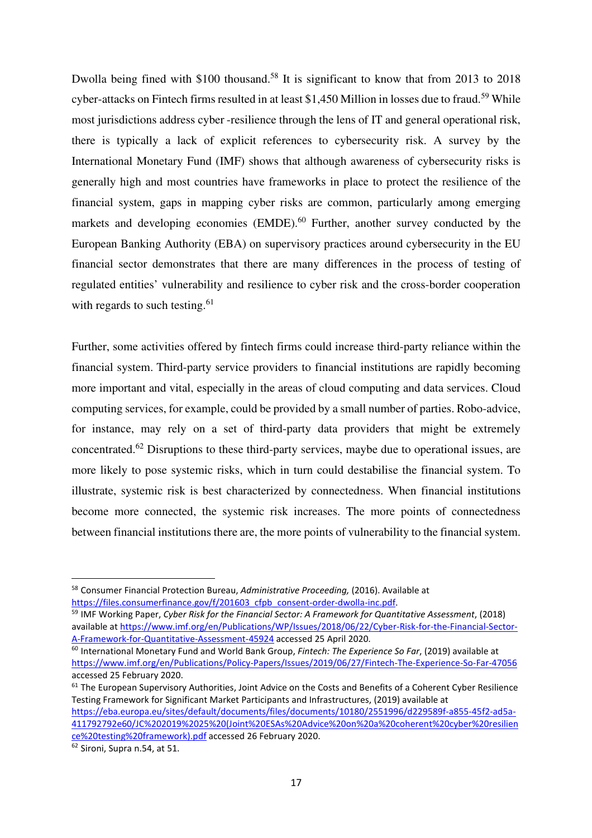Dwolla being fined with \$100 thousand.<sup>58</sup> It is significant to know that from 2013 to 2018 cyber-attacks on Fintech firms resulted in at least \$1,450 Million in losses due to fraud.<sup>59</sup> While most jurisdictions address cyber -resilience through the lens of IT and general operational risk, there is typically a lack of explicit references to cybersecurity risk. A survey by the International Monetary Fund (IMF) shows that although awareness of cybersecurity risks is generally high and most countries have frameworks in place to protect the resilience of the financial system, gaps in mapping cyber risks are common, particularly among emerging markets and developing economies  $(EMDE)$ .<sup>60</sup> Further, another survey conducted by the European Banking Authority (EBA) on supervisory practices around cybersecurity in the EU financial sector demonstrates that there are many differences in the process of testing of regulated entities' vulnerability and resilience to cyber risk and the cross-border cooperation with regards to such testing. $61$ 

Further, some activities offered by fintech firms could increase third-party reliance within the financial system. Third-party service providers to financial institutions are rapidly becoming more important and vital, especially in the areas of cloud computing and data services. Cloud computing services, for example, could be provided by a small number of parties. Robo-advice, for instance, may rely on a set of third-party data providers that might be extremely concentrated.<sup>62</sup> Disruptions to these third-party services, maybe due to operational issues, are more likely to pose systemic risks, which in turn could destabilise the financial system. To illustrate, systemic risk is best characterized by connectedness. When financial institutions become more connected, the systemic risk increases. The more points of connectedness between financial institutions there are, the more points of vulnerability to the financial system.

<sup>58</sup> Consumer Financial Protection Bureau, *Administrative Proceeding,* (2016). Available at https://files.consumerfinance.gov/f/201603\_cfpb\_consent-order-dwolla-inc.pdf.

<sup>59</sup> IMF Working Paper, *Cyber Risk for the Financial Sector: A Framework for Quantitative Assessment*, (2018) available at https://www.imf.org/en/Publications/WP/Issues/2018/06/22/Cyber-Risk-for-the-Financial-Sector-A-Framework-for-Quantitative-Assessment-45924 accessed 25 April 2020.

<sup>60</sup> International Monetary Fund and World Bank Group, *Fintech: The Experience So Far*, (2019) available at https://www.imf.org/en/Publications/Policy-Papers/Issues/2019/06/27/Fintech-The-Experience-So-Far-47056 accessed 25 February 2020.

<sup>&</sup>lt;sup>61</sup> The European Supervisory Authorities, Joint Advice on the Costs and Benefits of a Coherent Cyber Resilience Testing Framework for Significant Market Participants and Infrastructures, (2019) available at https://eba.europa.eu/sites/default/documents/files/documents/10180/2551996/d229589f-a855-45f2-ad5a-411792792e60/JC%202019%2025%20(Joint%20ESAs%20Advice%20on%20a%20coherent%20cyber%20resilien ce%20testing%20framework).pdf accessed 26 February 2020.

 $\overline{62}$  Sironi, Supra n.54, at 51.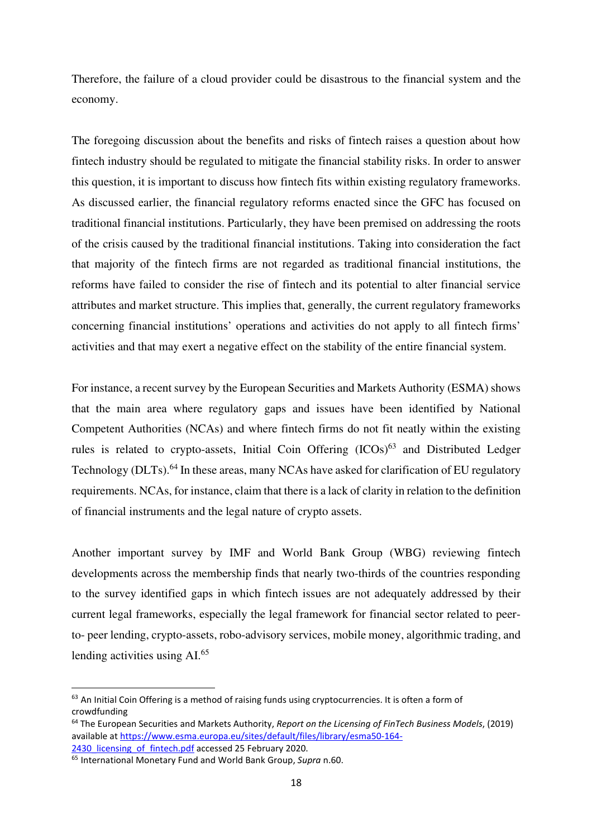Therefore, the failure of a cloud provider could be disastrous to the financial system and the economy.

The foregoing discussion about the benefits and risks of fintech raises a question about how fintech industry should be regulated to mitigate the financial stability risks. In order to answer this question, it is important to discuss how fintech fits within existing regulatory frameworks. As discussed earlier, the financial regulatory reforms enacted since the GFC has focused on traditional financial institutions. Particularly, they have been premised on addressing the roots of the crisis caused by the traditional financial institutions. Taking into consideration the fact that majority of the fintech firms are not regarded as traditional financial institutions, the reforms have failed to consider the rise of fintech and its potential to alter financial service attributes and market structure. This implies that, generally, the current regulatory frameworks concerning financial institutions' operations and activities do not apply to all fintech firms' activities and that may exert a negative effect on the stability of the entire financial system.

For instance, a recent survey by the European Securities and Markets Authority (ESMA) shows that the main area where regulatory gaps and issues have been identified by National Competent Authorities (NCAs) and where fintech firms do not fit neatly within the existing rules is related to crypto-assets, Initial Coin Offering  $(ICOs)^{63}$  and Distributed Ledger Technology (DLTs).<sup>64</sup> In these areas, many NCAs have asked for clarification of EU regulatory requirements. NCAs, for instance, claim that there is a lack of clarity in relation to the definition of financial instruments and the legal nature of crypto assets.

Another important survey by IMF and World Bank Group (WBG) reviewing fintech developments across the membership finds that nearly two-thirds of the countries responding to the survey identified gaps in which fintech issues are not adequately addressed by their current legal frameworks, especially the legal framework for financial sector related to peerto- peer lending, crypto-assets, robo-advisory services, mobile money, algorithmic trading, and lending activities using AI.<sup>65</sup>

<sup>&</sup>lt;sup>63</sup> An Initial Coin Offering is a method of raising funds using cryptocurrencies. It is often a form of crowdfunding

<sup>64</sup> The European Securities and Markets Authority, *Report on the Licensing of FinTech Business Models*, (2019) available at https://www.esma.europa.eu/sites/default/files/library/esma50-164-

<sup>2430</sup> licensing of fintech.pdf accessed 25 February 2020.

<sup>65</sup> International Monetary Fund and World Bank Group, *Supra* n.60.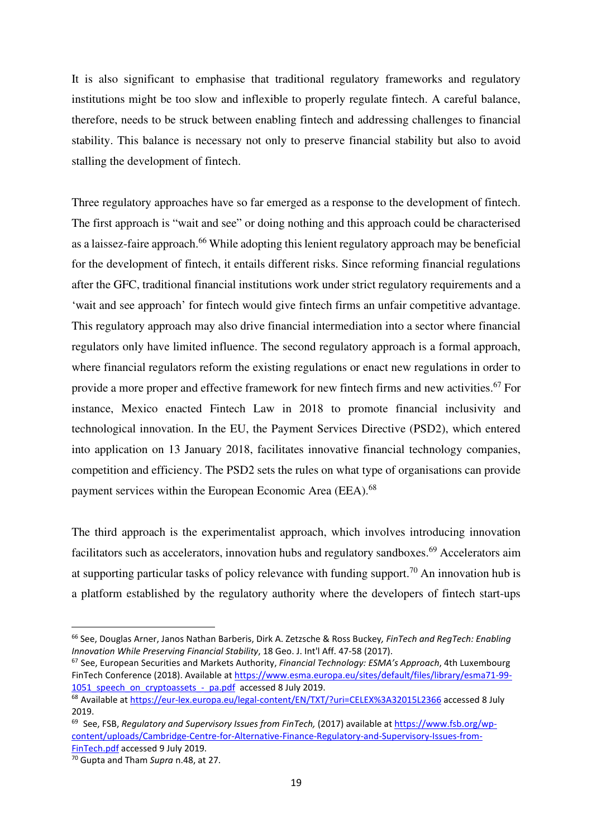It is also significant to emphasise that traditional regulatory frameworks and regulatory institutions might be too slow and inflexible to properly regulate fintech. A careful balance, therefore, needs to be struck between enabling fintech and addressing challenges to financial stability. This balance is necessary not only to preserve financial stability but also to avoid stalling the development of fintech.

Three regulatory approaches have so far emerged as a response to the development of fintech. The first approach is "wait and see" or doing nothing and this approach could be characterised as a laissez-faire approach.<sup>66</sup> While adopting this lenient regulatory approach may be beneficial for the development of fintech, it entails different risks. Since reforming financial regulations after the GFC, traditional financial institutions work under strict regulatory requirements and a 'wait and see approach' for fintech would give fintech firms an unfair competitive advantage. This regulatory approach may also drive financial intermediation into a sector where financial regulators only have limited influence. The second regulatory approach is a formal approach, where financial regulators reform the existing regulations or enact new regulations in order to provide a more proper and effective framework for new fintech firms and new activities.<sup>67</sup> For instance, Mexico enacted Fintech Law in 2018 to promote financial inclusivity and technological innovation. In the EU, the Payment Services Directive (PSD2), which entered into application on 13 January 2018, facilitates innovative financial technology companies, competition and efficiency. The PSD2 sets the rules on what type of organisations can provide payment services within the European Economic Area (EEA).<sup>68</sup>

The third approach is the experimentalist approach, which involves introducing innovation facilitators such as accelerators, innovation hubs and regulatory sandboxes.<sup>69</sup> Accelerators aim at supporting particular tasks of policy relevance with funding support.<sup>70</sup> An innovation hub is a platform established by the regulatory authority where the developers of fintech start-ups

<sup>66</sup> See, Douglas Arner, Janos Nathan Barberis, Dirk A. Zetzsche & Ross Buckey*, FinTech and RegTech: Enabling Innovation While Preserving Financial Stability*, 18 Geo. J. Int'l Aff. 47-58 (2017).

<sup>67</sup> See, European Securities and Markets Authority, *Financial Technology: ESMA's Approach*, 4th Luxembourg FinTech Conference (2018). Available at https://www.esma.europa.eu/sites/default/files/library/esma71-99- 1051 speech on cryptoassets - pa.pdf accessed 8 July 2019.

<sup>&</sup>lt;sup>68</sup> Available at https://eur-lex.europa.eu/legal-content/EN/TXT/?uri=CELEX%3A32015L2366 accessed 8 July 2019.

<sup>69</sup> See, FSB, *Regulatory and Supervisory Issues from FinTech,* (2017) available at https://www.fsb.org/wpcontent/uploads/Cambridge-Centre-for-Alternative-Finance-Regulatory-and-Supervisory-Issues-from-FinTech.pdf accessed 9 July 2019.

<sup>70</sup> Gupta and Tham *Supra* n.48, at 27.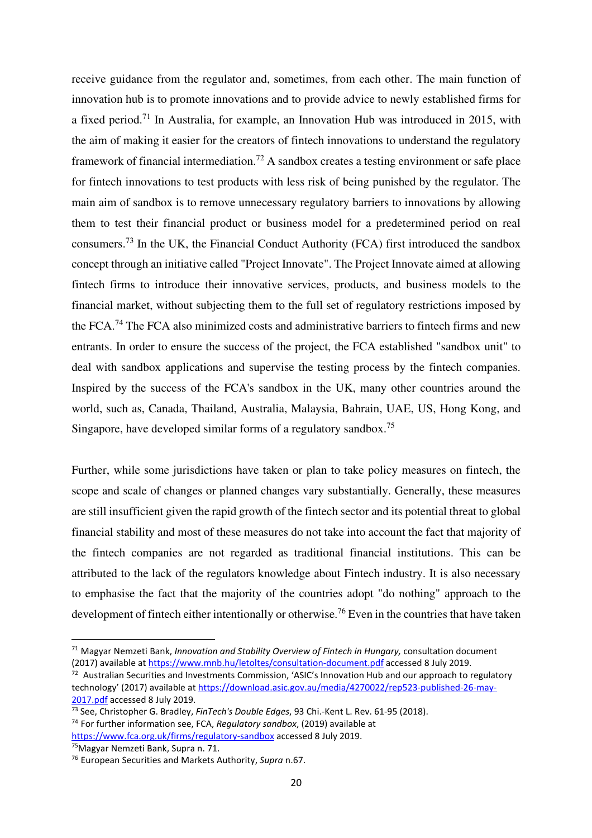receive guidance from the regulator and, sometimes, from each other. The main function of innovation hub is to promote innovations and to provide advice to newly established firms for a fixed period.<sup>71</sup> In Australia, for example, an Innovation Hub was introduced in 2015, with the aim of making it easier for the creators of fintech innovations to understand the regulatory framework of financial intermediation.<sup>72</sup> A sandbox creates a testing environment or safe place for fintech innovations to test products with less risk of being punished by the regulator. The main aim of sandbox is to remove unnecessary regulatory barriers to innovations by allowing them to test their financial product or business model for a predetermined period on real consumers.<sup>73</sup> In the UK, the Financial Conduct Authority (FCA) first introduced the sandbox concept through an initiative called "Project Innovate". The Project Innovate aimed at allowing fintech firms to introduce their innovative services, products, and business models to the financial market, without subjecting them to the full set of regulatory restrictions imposed by the FCA.<sup>74</sup> The FCA also minimized costs and administrative barriers to fintech firms and new entrants. In order to ensure the success of the project, the FCA established "sandbox unit" to deal with sandbox applications and supervise the testing process by the fintech companies. Inspired by the success of the FCA's sandbox in the UK, many other countries around the world, such as, Canada, Thailand, Australia, Malaysia, Bahrain, UAE, US, Hong Kong, and Singapore, have developed similar forms of a regulatory sandbox.<sup>75</sup>

Further, while some jurisdictions have taken or plan to take policy measures on fintech, the scope and scale of changes or planned changes vary substantially. Generally, these measures are still insufficient given the rapid growth of the fintech sector and its potential threat to global financial stability and most of these measures do not take into account the fact that majority of the fintech companies are not regarded as traditional financial institutions. This can be attributed to the lack of the regulators knowledge about Fintech industry. It is also necessary to emphasise the fact that the majority of the countries adopt "do nothing" approach to the development of fintech either intentionally or otherwise.<sup>76</sup> Even in the countries that have taken

<sup>71</sup> Magyar Nemzeti Bank, *Innovation and Stability Overview of Fintech in Hungary,* consultation document (2017) available at https://www.mnb.hu/letoltes/consultation-document.pdf accessed 8 July 2019.

<sup>&</sup>lt;sup>72</sup> Australian Securities and Investments Commission, 'ASIC's Innovation Hub and our approach to regulatory technology' (2017) available at https://download.asic.gov.au/media/4270022/rep523-published-26-may-2017.pdf accessed 8 July 2019.

<sup>73</sup> See, Christopher G. Bradley, *FinTech's Double Edges*, 93 Chi.-Kent L. Rev. 61-95 (2018).

<sup>74</sup> For further information see, FCA, *Regulatory sandbox*, (2019) available at https://www.fca.org.uk/firms/regulatory-sandbox accessed 8 July 2019.

<sup>&</sup>lt;sup>75</sup>Magyar Nemzeti Bank, Supra n. 71.

<sup>76</sup> European Securities and Markets Authority, *Supra* n.67.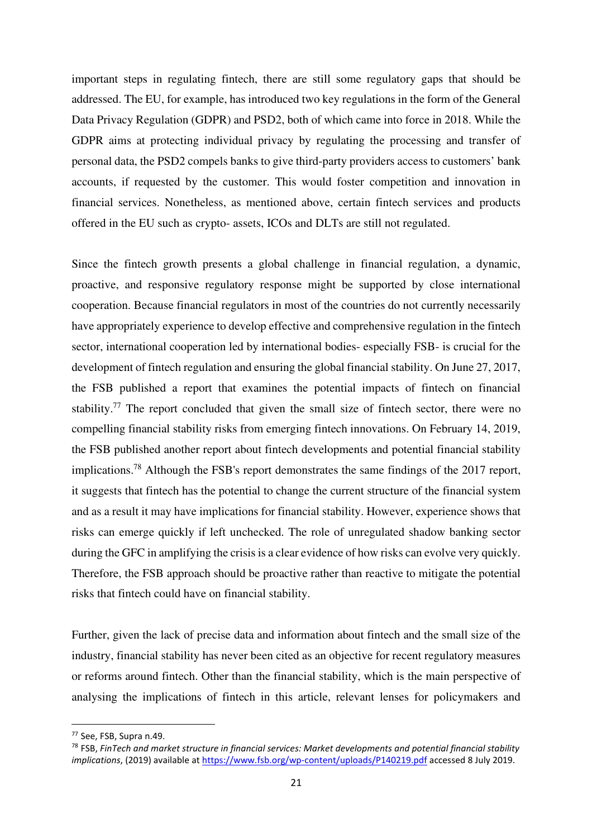important steps in regulating fintech, there are still some regulatory gaps that should be addressed. The EU, for example, has introduced two key regulations in the form of the General Data Privacy Regulation (GDPR) and PSD2, both of which came into force in 2018. While the GDPR aims at protecting individual privacy by regulating the processing and transfer of personal data, the PSD2 compels banks to give third-party providers access to customers' bank accounts, if requested by the customer. This would foster competition and innovation in financial services. Nonetheless, as mentioned above, certain fintech services and products offered in the EU such as crypto- assets, ICOs and DLTs are still not regulated.

Since the fintech growth presents a global challenge in financial regulation, a dynamic, proactive, and responsive regulatory response might be supported by close international cooperation. Because financial regulators in most of the countries do not currently necessarily have appropriately experience to develop effective and comprehensive regulation in the fintech sector, international cooperation led by international bodies- especially FSB- is crucial for the development of fintech regulation and ensuring the global financial stability. On June 27, 2017, the FSB published a report that examines the potential impacts of fintech on financial stability.<sup>77</sup> The report concluded that given the small size of fintech sector, there were no compelling financial stability risks from emerging fintech innovations. On February 14, 2019, the FSB published another report about fintech developments and potential financial stability implications.<sup>78</sup> Although the FSB's report demonstrates the same findings of the 2017 report, it suggests that fintech has the potential to change the current structure of the financial system and as a result it may have implications for financial stability. However, experience shows that risks can emerge quickly if left unchecked. The role of unregulated shadow banking sector during the GFC in amplifying the crisis is a clear evidence of how risks can evolve very quickly. Therefore, the FSB approach should be proactive rather than reactive to mitigate the potential risks that fintech could have on financial stability.

Further, given the lack of precise data and information about fintech and the small size of the industry, financial stability has never been cited as an objective for recent regulatory measures or reforms around fintech. Other than the financial stability, which is the main perspective of analysing the implications of fintech in this article, relevant lenses for policymakers and

<sup>77</sup> See, FSB, Supra n.49.

<sup>78</sup> FSB, *FinTech and market structure in financial services: Market developments and potential financial stability implications*, (2019) available at https://www.fsb.org/wp-content/uploads/P140219.pdf accessed 8 July 2019.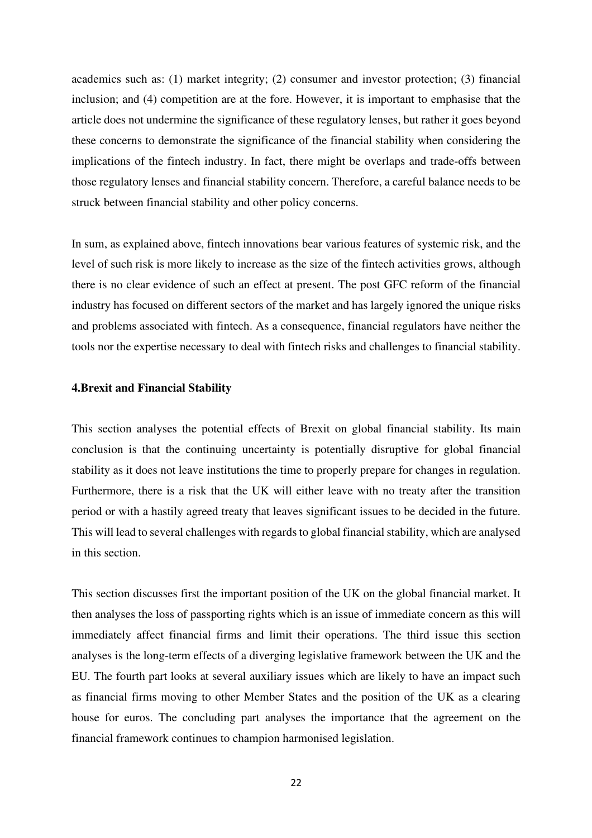academics such as: (1) market integrity; (2) consumer and investor protection; (3) financial inclusion; and (4) competition are at the fore. However, it is important to emphasise that the article does not undermine the significance of these regulatory lenses, but rather it goes beyond these concerns to demonstrate the significance of the financial stability when considering the implications of the fintech industry. In fact, there might be overlaps and trade-offs between those regulatory lenses and financial stability concern. Therefore, a careful balance needs to be struck between financial stability and other policy concerns.

In sum, as explained above, fintech innovations bear various features of systemic risk, and the level of such risk is more likely to increase as the size of the fintech activities grows, although there is no clear evidence of such an effect at present. The post GFC reform of the financial industry has focused on different sectors of the market and has largely ignored the unique risks and problems associated with fintech. As a consequence, financial regulators have neither the tools nor the expertise necessary to deal with fintech risks and challenges to financial stability.

#### **4.Brexit and Financial Stability**

This section analyses the potential effects of Brexit on global financial stability. Its main conclusion is that the continuing uncertainty is potentially disruptive for global financial stability as it does not leave institutions the time to properly prepare for changes in regulation. Furthermore, there is a risk that the UK will either leave with no treaty after the transition period or with a hastily agreed treaty that leaves significant issues to be decided in the future. This will lead to several challenges with regards to global financial stability, which are analysed in this section.

This section discusses first the important position of the UK on the global financial market. It then analyses the loss of passporting rights which is an issue of immediate concern as this will immediately affect financial firms and limit their operations. The third issue this section analyses is the long-term effects of a diverging legislative framework between the UK and the EU. The fourth part looks at several auxiliary issues which are likely to have an impact such as financial firms moving to other Member States and the position of the UK as a clearing house for euros. The concluding part analyses the importance that the agreement on the financial framework continues to champion harmonised legislation.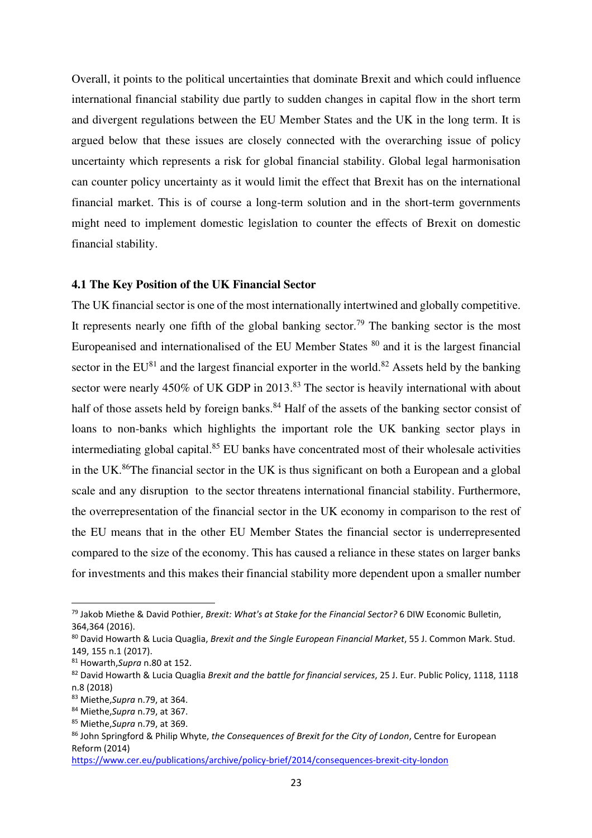Overall, it points to the political uncertainties that dominate Brexit and which could influence international financial stability due partly to sudden changes in capital flow in the short term and divergent regulations between the EU Member States and the UK in the long term. It is argued below that these issues are closely connected with the overarching issue of policy uncertainty which represents a risk for global financial stability. Global legal harmonisation can counter policy uncertainty as it would limit the effect that Brexit has on the international financial market. This is of course a long-term solution and in the short-term governments might need to implement domestic legislation to counter the effects of Brexit on domestic financial stability.

#### **4.1 The Key Position of the UK Financial Sector**

The UK financial sector is one of the most internationally intertwined and globally competitive. It represents nearly one fifth of the global banking sector.<sup>79</sup> The banking sector is the most Europeanised and internationalised of the EU Member States <sup>80</sup> and it is the largest financial sector in the  $EU^{81}$  and the largest financial exporter in the world.<sup>82</sup> Assets held by the banking sector were nearly 450% of UK GDP in 2013.<sup>83</sup> The sector is heavily international with about half of those assets held by foreign banks.<sup>84</sup> Half of the assets of the banking sector consist of loans to non-banks which highlights the important role the UK banking sector plays in intermediating global capital.<sup>85</sup> EU banks have concentrated most of their wholesale activities in the UK. $86$ The financial sector in the UK is thus significant on both a European and a global scale and any disruption to the sector threatens international financial stability. Furthermore, the overrepresentation of the financial sector in the UK economy in comparison to the rest of the EU means that in the other EU Member States the financial sector is underrepresented compared to the size of the economy. This has caused a reliance in these states on larger banks for investments and this makes their financial stability more dependent upon a smaller number

<sup>79</sup> Jakob Miethe & David Pothier, *Brexit: What's at Stake for the Financial Sector?* 6 DIW Economic Bulletin, 364,364 (2016).

<sup>80</sup> David Howarth & Lucia Quaglia, *Brexit and the Single European Financial Market*, 55 J. Common Mark. Stud. 149, 155 n.1 (2017).

<sup>81</sup> Howarth,*Supra* n.80 at 152.

<sup>82</sup> David Howarth & Lucia Quaglia *Brexit and the battle for financial services*, 25 J. Eur. Public Policy, 1118, 1118 n.8 (2018)

<sup>83</sup> Miethe,*Supra* n.79, at 364.

<sup>84</sup> Miethe,*Supra* n.79, at 367.

<sup>85</sup> Miethe,*Supra* n.79, at 369.

<sup>86</sup> John Springford & Philip Whyte, *the Consequences of Brexit for the City of London*, Centre for European Reform (2014)

https://www.cer.eu/publications/archive/policy-brief/2014/consequences-brexit-city-london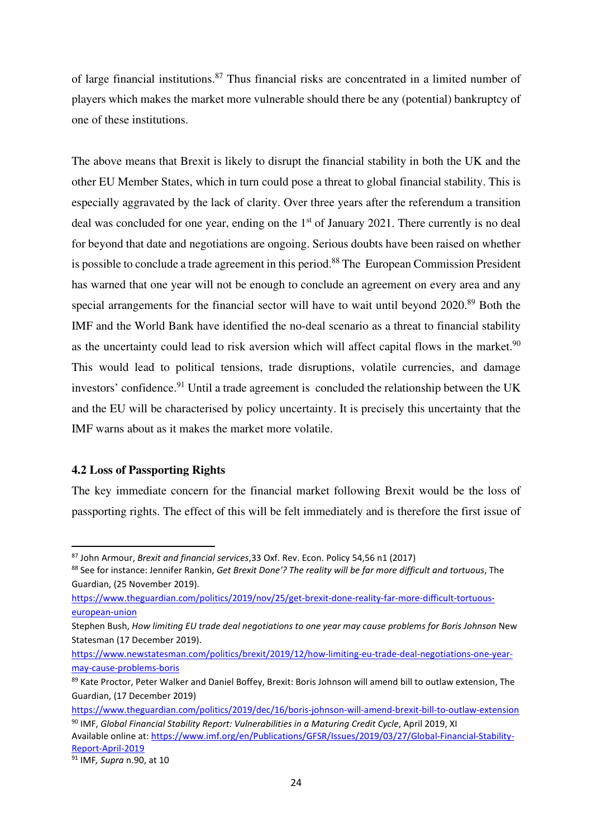of large financial institutions.<sup>87</sup> Thus financial risks are concentrated in a limited number of players which makes the market more vulnerable should there be any (potential) bankruptcy of one of these institutions.

The above means that Brexit is likely to disrupt the financial stability in both the UK and the other EU Member States, which in turn could pose a threat to global financial stability. This is especially aggravated by the lack of clarity. Over three years after the referendum a transition deal was concluded for one year, ending on the  $1<sup>st</sup>$  of January 2021. There currently is no deal for beyond that date and negotiations are ongoing. Serious doubts have been raised on whether is possible to conclude a trade agreement in this period.<sup>88</sup> The European Commission President has warned that one year will not be enough to conclude an agreement on every area and any special arrangements for the financial sector will have to wait until beyond 2020.<sup>89</sup> Both the IMF and the World Bank have identified the no-deal scenario as a threat to financial stability as the uncertainty could lead to risk aversion which will affect capital flows in the market. $90$ This would lead to political tensions, trade disruptions, volatile currencies, and damage investors' confidence.<sup>91</sup> Until a trade agreement is concluded the relationship between the UK and the EU will be characterised by policy uncertainty. It is precisely this uncertainty that the IMF warns about as it makes the market more volatile.

## **4.2 Loss of Passporting Rights**

The key immediate concern for the financial market following Brexit would be the loss of passporting rights. The effect of this will be felt immediately and is therefore the first issue of

<sup>87</sup> John Armour, *Brexit and financial services*,33 Oxf. Rev. Econ. Policy 54,56 n1 (2017)

<sup>88</sup> See for instance: Jennifer Rankin, *Get Brexit Done'? The reality will be far more difficult and tortuous*, The Guardian, (25 November 2019).

https://www.theguardian.com/politics/2019/nov/25/get-brexit-done-reality-far-more-difficult-tortuouseuropean-union

Stephen Bush, *How limiting EU trade deal negotiations to one year may cause problems for Boris Johnson* New Statesman (17 December 2019).

https://www.newstatesman.com/politics/brexit/2019/12/how-limiting-eu-trade-deal-negotiations-one-yearmay-cause-problems-boris

<sup>89</sup> Kate Proctor, Peter Walker and Daniel Boffey, Brexit: Boris Johnson will amend bill to outlaw extension, The Guardian, (17 December 2019)

https://www.theguardian.com/politics/2019/dec/16/boris-johnson-will-amend-brexit-bill-to-outlaw-extension

<sup>90</sup> IMF, Global Financial Stability Report: Vulnerabilities in a Maturing Credit Cycle, April 2019, XI Available online at: https://www.imf.org/en/Publications/GFSR/Issues/2019/03/27/Global-Financial-Stability-Report-April-2019

<sup>91</sup> IMF*, Supra* n.90, at 10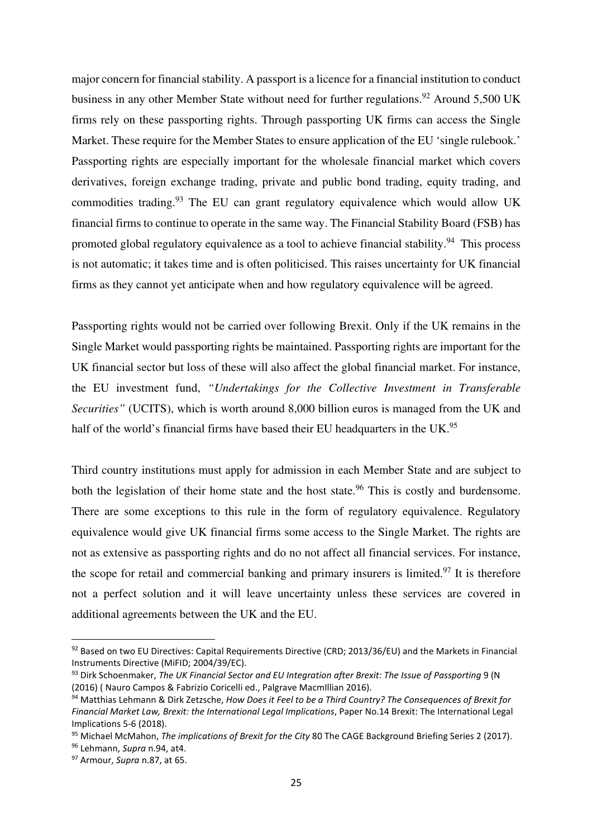major concern for financial stability. A passport is a licence for a financial institution to conduct business in any other Member State without need for further regulations.<sup>92</sup> Around 5,500 UK firms rely on these passporting rights. Through passporting UK firms can access the Single Market. These require for the Member States to ensure application of the EU 'single rulebook.' Passporting rights are especially important for the wholesale financial market which covers derivatives, foreign exchange trading, private and public bond trading, equity trading, and commodities trading.<sup>93</sup> The EU can grant regulatory equivalence which would allow UK financial firms to continue to operate in the same way. The Financial Stability Board (FSB) has promoted global regulatory equivalence as a tool to achieve financial stability.<sup>94</sup> This process is not automatic; it takes time and is often politicised. This raises uncertainty for UK financial firms as they cannot yet anticipate when and how regulatory equivalence will be agreed.

Passporting rights would not be carried over following Brexit. Only if the UK remains in the Single Market would passporting rights be maintained. Passporting rights are important for the UK financial sector but loss of these will also affect the global financial market. For instance, the EU investment fund, *"Undertakings for the Collective Investment in Transferable Securities"* (UCITS), which is worth around 8,000 billion euros is managed from the UK and half of the world's financial firms have based their EU headquarters in the UK.<sup>95</sup>

Third country institutions must apply for admission in each Member State and are subject to both the legislation of their home state and the host state.<sup>96</sup> This is costly and burdensome. There are some exceptions to this rule in the form of regulatory equivalence. Regulatory equivalence would give UK financial firms some access to the Single Market. The rights are not as extensive as passporting rights and do no not affect all financial services. For instance, the scope for retail and commercial banking and primary insurers is limited.<sup>97</sup> It is therefore not a perfect solution and it will leave uncertainty unless these services are covered in additional agreements between the UK and the EU.

<sup>92</sup> Based on two EU Directives: Capital Requirements Directive (CRD; 2013/36/EU) and the Markets in Financial Instruments Directive (MiFID; 2004/39/EC).

<sup>93</sup> Dirk Schoenmaker, *The UK Financial Sector and EU Integration after Brexit: The Issue of Passporting* 9 (N (2016) ( Nauro Campos & Fabrizio Coricelli ed., Palgrave MacmIllian 2016).

<sup>94</sup> Matthias Lehmann & Dirk Zetzsche, *How Does it Feel to be a Third Country? The Consequences of Brexit for Financial Market Law, Brexit: the International Legal Implications*, Paper No.14 Brexit: The International Legal Implications 5-6 (2018).

<sup>95</sup> Michael McMahon, *The implications of Brexit for the City* 80 The CAGE Background Briefing Series 2 (2017).

<sup>96</sup> Lehmann, *Supra* n.94, at4.

<sup>97</sup> Armour, *Supra* n.87, at 65.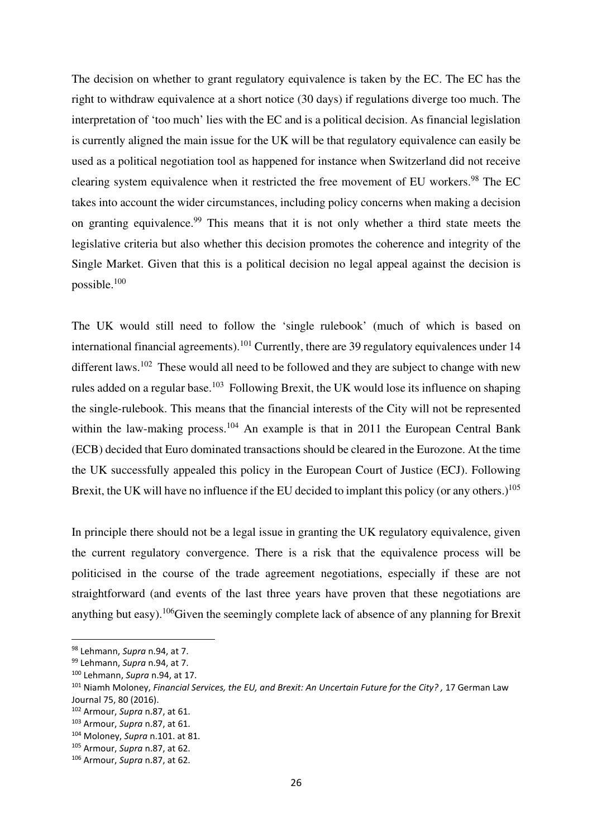The decision on whether to grant regulatory equivalence is taken by the EC. The EC has the right to withdraw equivalence at a short notice (30 days) if regulations diverge too much. The interpretation of 'too much' lies with the EC and is a political decision. As financial legislation is currently aligned the main issue for the UK will be that regulatory equivalence can easily be used as a political negotiation tool as happened for instance when Switzerland did not receive clearing system equivalence when it restricted the free movement of EU workers.<sup>98</sup> The EC takes into account the wider circumstances, including policy concerns when making a decision on granting equivalence.<sup>99</sup> This means that it is not only whether a third state meets the legislative criteria but also whether this decision promotes the coherence and integrity of the Single Market. Given that this is a political decision no legal appeal against the decision is possible.<sup>100</sup>

The UK would still need to follow the 'single rulebook' (much of which is based on international financial agreements).<sup>101</sup> Currently, there are 39 regulatory equivalences under 14 different laws.<sup>102</sup> These would all need to be followed and they are subject to change with new rules added on a regular base.<sup>103</sup> Following Brexit, the UK would lose its influence on shaping the single-rulebook. This means that the financial interests of the City will not be represented within the law-making process.<sup>104</sup> An example is that in 2011 the European Central Bank (ECB) decided that Euro dominated transactions should be cleared in the Eurozone. At the time the UK successfully appealed this policy in the European Court of Justice (ECJ). Following Brexit, the UK will have no influence if the EU decided to implant this policy (or any others.)<sup>105</sup>

In principle there should not be a legal issue in granting the UK regulatory equivalence, given the current regulatory convergence. There is a risk that the equivalence process will be politicised in the course of the trade agreement negotiations, especially if these are not straightforward (and events of the last three years have proven that these negotiations are anything but easy).<sup>106</sup>Given the seemingly complete lack of absence of any planning for Brexit

<sup>98</sup> Lehmann, *Supra* n.94, at 7.

<sup>99</sup> Lehmann, *Supra* n.94, at 7.

<sup>100</sup> Lehmann, *Supra* n.94, at 17.

<sup>101</sup> Niamh Moloney, *Financial Services, the EU, and Brexit: An Uncertain Future for the City? ,* 17 German Law Journal 75, 80 (2016).

<sup>102</sup> Armour, *Supra* n.87, at 61.

<sup>103</sup> Armour, *Supra* n.87, at 61.

<sup>104</sup> Moloney, *Supra* n.101. at 81.

<sup>105</sup> Armour, *Supra* n.87, at 62.

<sup>106</sup> Armour, *Supra* n.87, at 62.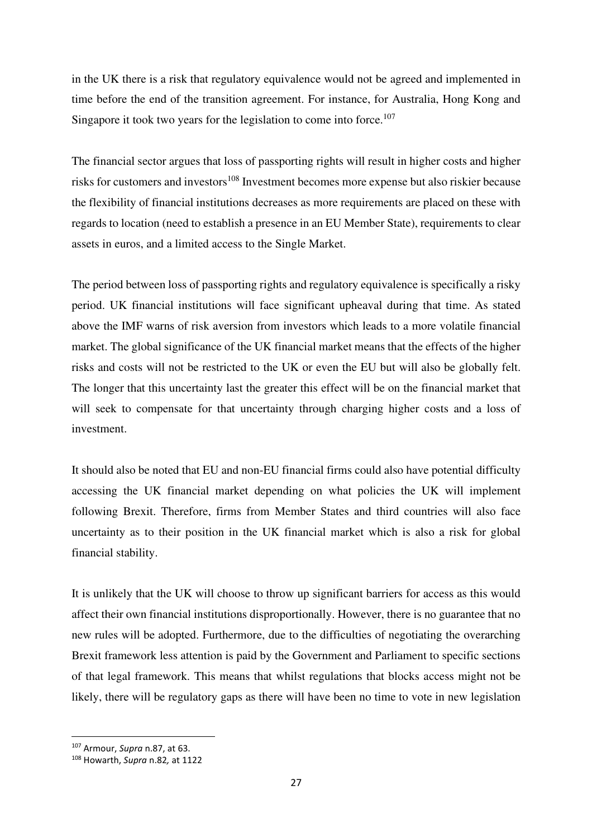in the UK there is a risk that regulatory equivalence would not be agreed and implemented in time before the end of the transition agreement. For instance, for Australia, Hong Kong and Singapore it took two years for the legislation to come into force.<sup>107</sup>

The financial sector argues that loss of passporting rights will result in higher costs and higher risks for customers and investors<sup>108</sup> Investment becomes more expense but also riskier because the flexibility of financial institutions decreases as more requirements are placed on these with regards to location (need to establish a presence in an EU Member State), requirements to clear assets in euros, and a limited access to the Single Market.

The period between loss of passporting rights and regulatory equivalence is specifically a risky period. UK financial institutions will face significant upheaval during that time. As stated above the IMF warns of risk aversion from investors which leads to a more volatile financial market. The global significance of the UK financial market means that the effects of the higher risks and costs will not be restricted to the UK or even the EU but will also be globally felt. The longer that this uncertainty last the greater this effect will be on the financial market that will seek to compensate for that uncertainty through charging higher costs and a loss of investment.

It should also be noted that EU and non-EU financial firms could also have potential difficulty accessing the UK financial market depending on what policies the UK will implement following Brexit. Therefore, firms from Member States and third countries will also face uncertainty as to their position in the UK financial market which is also a risk for global financial stability.

It is unlikely that the UK will choose to throw up significant barriers for access as this would affect their own financial institutions disproportionally. However, there is no guarantee that no new rules will be adopted. Furthermore, due to the difficulties of negotiating the overarching Brexit framework less attention is paid by the Government and Parliament to specific sections of that legal framework. This means that whilst regulations that blocks access might not be likely, there will be regulatory gaps as there will have been no time to vote in new legislation

<sup>107</sup> Armour, *Supra* n.87, at 63.

<sup>108</sup> Howarth, *Supra* n.82*,* at 1122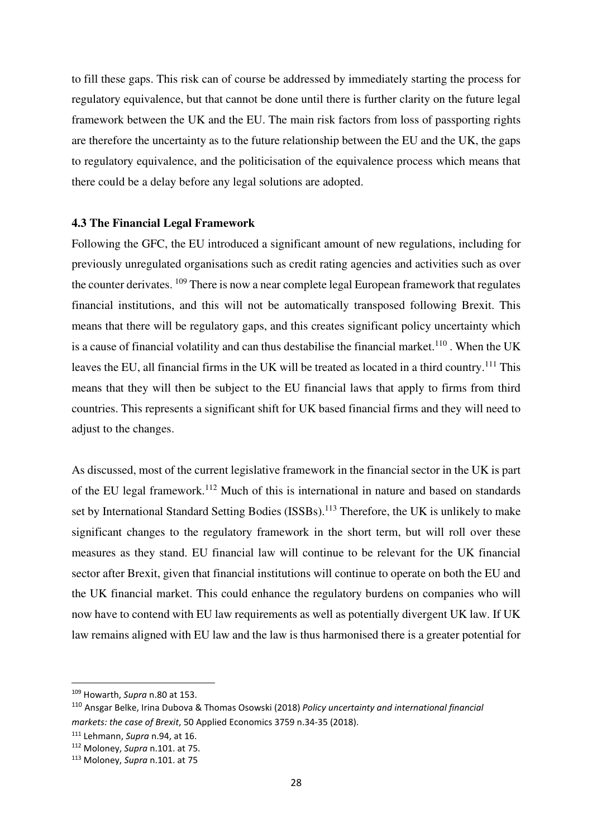to fill these gaps. This risk can of course be addressed by immediately starting the process for regulatory equivalence, but that cannot be done until there is further clarity on the future legal framework between the UK and the EU. The main risk factors from loss of passporting rights are therefore the uncertainty as to the future relationship between the EU and the UK, the gaps to regulatory equivalence, and the politicisation of the equivalence process which means that there could be a delay before any legal solutions are adopted.

#### **4.3 The Financial Legal Framework**

Following the GFC, the EU introduced a significant amount of new regulations, including for previously unregulated organisations such as credit rating agencies and activities such as over the counter derivates. <sup>109</sup> There is now a near complete legal European framework that regulates financial institutions, and this will not be automatically transposed following Brexit. This means that there will be regulatory gaps, and this creates significant policy uncertainty which is a cause of financial volatility and can thus destabilise the financial market.<sup>110</sup>. When the UK leaves the EU, all financial firms in the UK will be treated as located in a third country.<sup>111</sup> This means that they will then be subject to the EU financial laws that apply to firms from third countries. This represents a significant shift for UK based financial firms and they will need to adjust to the changes.

As discussed, most of the current legislative framework in the financial sector in the UK is part of the EU legal framework.<sup>112</sup> Much of this is international in nature and based on standards set by International Standard Setting Bodies (ISSBs).<sup>113</sup> Therefore, the UK is unlikely to make significant changes to the regulatory framework in the short term, but will roll over these measures as they stand. EU financial law will continue to be relevant for the UK financial sector after Brexit, given that financial institutions will continue to operate on both the EU and the UK financial market. This could enhance the regulatory burdens on companies who will now have to contend with EU law requirements as well as potentially divergent UK law. If UK law remains aligned with EU law and the law is thus harmonised there is a greater potential for

<sup>109</sup> Howarth, *Supra* n.80 at 153.

<sup>110</sup> Ansgar Belke, Irina Dubova & Thomas Osowski (2018) *Policy uncertainty and international financial markets: the case of Brexit*, 50 Applied Economics 3759 n.34-35 (2018).

<sup>111</sup> Lehmann, *Supra* n.94, at 16.

<sup>112</sup> Moloney, *Supra* n.101. at 75.

<sup>113</sup> Moloney, *Supra* n.101. at 75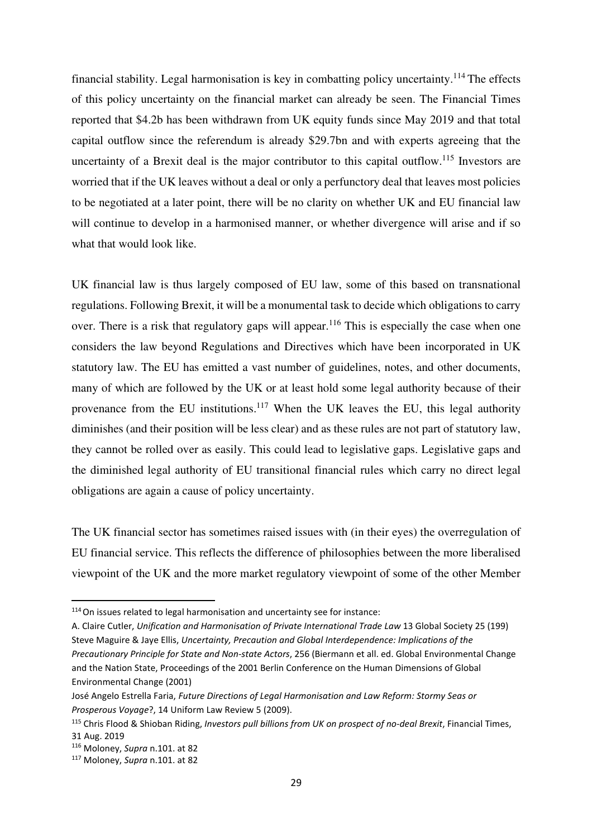financial stability. Legal harmonisation is key in combatting policy uncertainty.<sup>114</sup> The effects of this policy uncertainty on the financial market can already be seen. The Financial Times reported that \$4.2b has been withdrawn from UK equity funds since May 2019 and that total capital outflow since the referendum is already \$29.7bn and with experts agreeing that the uncertainty of a Brexit deal is the major contributor to this capital outflow.<sup>115</sup> Investors are worried that if the UK leaves without a deal or only a perfunctory deal that leaves most policies to be negotiated at a later point, there will be no clarity on whether UK and EU financial law will continue to develop in a harmonised manner, or whether divergence will arise and if so what that would look like.

UK financial law is thus largely composed of EU law, some of this based on transnational regulations. Following Brexit, it will be a monumental task to decide which obligations to carry over. There is a risk that regulatory gaps will appear.<sup>116</sup> This is especially the case when one considers the law beyond Regulations and Directives which have been incorporated in UK statutory law. The EU has emitted a vast number of guidelines, notes, and other documents, many of which are followed by the UK or at least hold some legal authority because of their provenance from the EU institutions.<sup>117</sup> When the UK leaves the EU, this legal authority diminishes (and their position will be less clear) and as these rules are not part of statutory law, they cannot be rolled over as easily. This could lead to legislative gaps. Legislative gaps and the diminished legal authority of EU transitional financial rules which carry no direct legal obligations are again a cause of policy uncertainty.

The UK financial sector has sometimes raised issues with (in their eyes) the overregulation of EU financial service. This reflects the difference of philosophies between the more liberalised viewpoint of the UK and the more market regulatory viewpoint of some of the other Member

<sup>114</sup>On issues related to legal harmonisation and uncertainty see for instance:

A. Claire Cutler, *Unification and Harmonisation of Private International Trade Law* 13 Global Society 25 (199) Steve Maguire & Jaye Ellis, *Uncertainty, Precaution and Global Interdependence: Implications of the Precautionary Principle for State and Non-state Actors*, 256 (Biermann et all. ed. Global Environmental Change and the Nation State, Proceedings of the 2001 Berlin Conference on the Human Dimensions of Global Environmental Change (2001)

José Angelo Estrella Faria, *Future Directions of Legal Harmonisation and Law Reform: Stormy Seas or Prosperous Voyage*?, 14 Uniform Law Review 5 (2009).

<sup>115</sup> Chris Flood & Shioban Riding, *Investors pull billions from UK on prospect of no-deal Brexit*, Financial Times, 31 Aug. 2019

<sup>116</sup> Moloney, *Supra* n.101. at 82

<sup>117</sup> Moloney, *Supra* n.101. at 82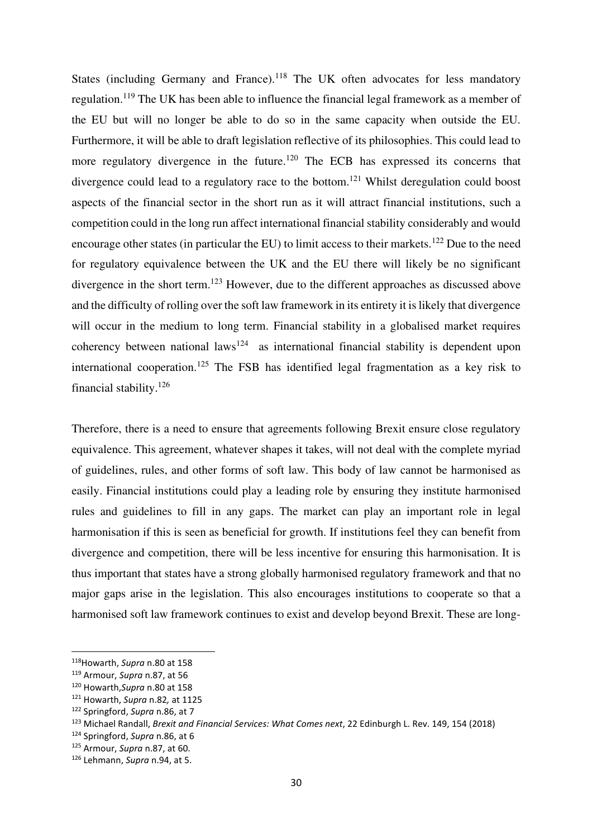States (including Germany and France).<sup>118</sup> The UK often advocates for less mandatory regulation.<sup>119</sup> The UK has been able to influence the financial legal framework as a member of the EU but will no longer be able to do so in the same capacity when outside the EU. Furthermore, it will be able to draft legislation reflective of its philosophies. This could lead to more regulatory divergence in the future.<sup>120</sup> The ECB has expressed its concerns that divergence could lead to a regulatory race to the bottom.<sup>121</sup> Whilst deregulation could boost aspects of the financial sector in the short run as it will attract financial institutions, such a competition could in the long run affect international financial stability considerably and would encourage other states (in particular the EU) to limit access to their markets.<sup>122</sup> Due to the need for regulatory equivalence between the UK and the EU there will likely be no significant divergence in the short term.<sup>123</sup> However, due to the different approaches as discussed above and the difficulty of rolling over the soft law framework in its entirety it is likely that divergence will occur in the medium to long term. Financial stability in a globalised market requires coherency between national laws<sup>124</sup> as international financial stability is dependent upon international cooperation.<sup>125</sup> The FSB has identified legal fragmentation as a key risk to financial stability.<sup>126</sup>

Therefore, there is a need to ensure that agreements following Brexit ensure close regulatory equivalence. This agreement, whatever shapes it takes, will not deal with the complete myriad of guidelines, rules, and other forms of soft law. This body of law cannot be harmonised as easily. Financial institutions could play a leading role by ensuring they institute harmonised rules and guidelines to fill in any gaps. The market can play an important role in legal harmonisation if this is seen as beneficial for growth. If institutions feel they can benefit from divergence and competition, there will be less incentive for ensuring this harmonisation. It is thus important that states have a strong globally harmonised regulatory framework and that no major gaps arise in the legislation. This also encourages institutions to cooperate so that a harmonised soft law framework continues to exist and develop beyond Brexit. These are long-

<sup>118</sup>Howarth, *Supra* n.80 at 158

<sup>119</sup> Armour, *Supra* n.87, at 56

<sup>120</sup> Howarth,*Supra* n.80 at 158

<sup>121</sup> Howarth, *Supra* n.82*,* at 1125

<sup>122</sup> Springford, *Supra* n.86, at 7

<sup>123</sup> Michael Randall, *Brexit and Financial Services: What Comes next*, 22 Edinburgh L. Rev. 149, 154 (2018)

<sup>124</sup> Springford, *Supra* n.86, at 6

<sup>125</sup> Armour, *Supra* n.87, at 60.

<sup>126</sup> Lehmann, *Supra* n.94, at 5.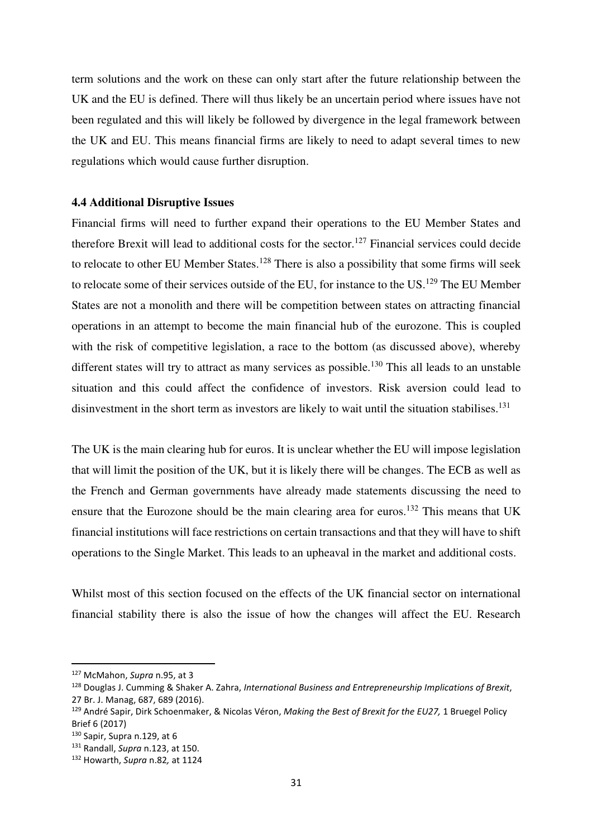term solutions and the work on these can only start after the future relationship between the UK and the EU is defined. There will thus likely be an uncertain period where issues have not been regulated and this will likely be followed by divergence in the legal framework between the UK and EU. This means financial firms are likely to need to adapt several times to new regulations which would cause further disruption.

#### **4.4 Additional Disruptive Issues**

Financial firms will need to further expand their operations to the EU Member States and therefore Brexit will lead to additional costs for the sector.<sup>127</sup> Financial services could decide to relocate to other EU Member States.<sup>128</sup> There is also a possibility that some firms will seek to relocate some of their services outside of the EU, for instance to the US.<sup>129</sup> The EU Member States are not a monolith and there will be competition between states on attracting financial operations in an attempt to become the main financial hub of the eurozone. This is coupled with the risk of competitive legislation, a race to the bottom (as discussed above), whereby different states will try to attract as many services as possible.<sup>130</sup> This all leads to an unstable situation and this could affect the confidence of investors. Risk aversion could lead to disinvestment in the short term as investors are likely to wait until the situation stabilises.<sup>131</sup>

The UK is the main clearing hub for euros. It is unclear whether the EU will impose legislation that will limit the position of the UK, but it is likely there will be changes. The ECB as well as the French and German governments have already made statements discussing the need to ensure that the Eurozone should be the main clearing area for euros.<sup>132</sup> This means that UK financial institutions will face restrictions on certain transactions and that they will have to shift operations to the Single Market. This leads to an upheaval in the market and additional costs.

Whilst most of this section focused on the effects of the UK financial sector on international financial stability there is also the issue of how the changes will affect the EU. Research

<sup>127</sup> McMahon, *Supra* n.95, at 3

<sup>128</sup> Douglas J. Cumming & Shaker A. Zahra, *International Business and Entrepreneurship Implications of Brexit*, 27 Br. J. Manag, 687, 689 (2016).

<sup>129</sup> André Sapir, Dirk Schoenmaker, & Nicolas Véron, *Making the Best of Brexit for the EU27,* 1 Bruegel Policy Brief 6 (2017)

<sup>130</sup> Sapir, Supra n.129, at 6

<sup>131</sup> Randall, *Supra* n.123, at 150.

<sup>132</sup> Howarth, *Supra* n.82*,* at 1124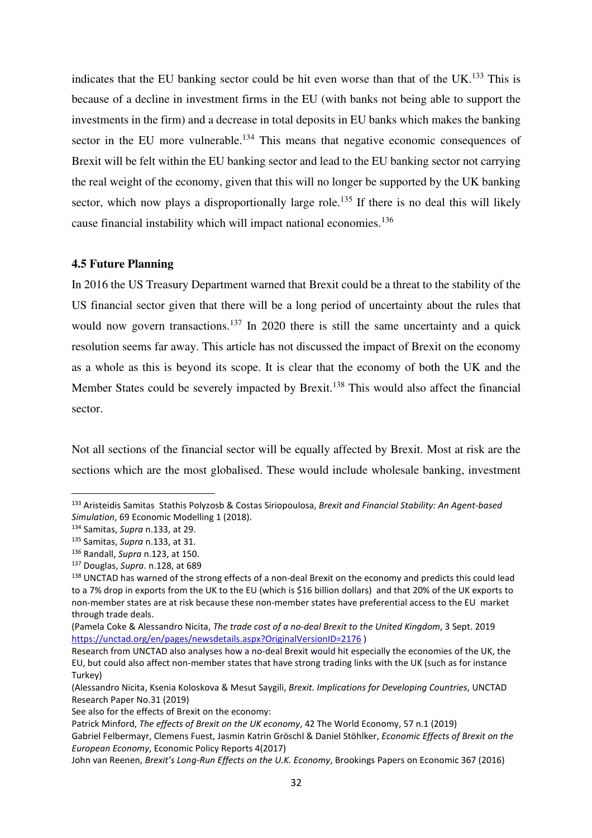indicates that the EU banking sector could be hit even worse than that of the UK.<sup>133</sup> This is because of a decline in investment firms in the EU (with banks not being able to support the investments in the firm) and a decrease in total deposits in EU banks which makes the banking sector in the EU more vulnerable.<sup>134</sup> This means that negative economic consequences of Brexit will be felt within the EU banking sector and lead to the EU banking sector not carrying the real weight of the economy, given that this will no longer be supported by the UK banking sector, which now plays a disproportionally large role.<sup>135</sup> If there is no deal this will likely cause financial instability which will impact national economies.<sup>136</sup>

## **4.5 Future Planning**

In 2016 the US Treasury Department warned that Brexit could be a threat to the stability of the US financial sector given that there will be a long period of uncertainty about the rules that would now govern transactions.<sup>137</sup> In 2020 there is still the same uncertainty and a quick resolution seems far away. This article has not discussed the impact of Brexit on the economy as a whole as this is beyond its scope. It is clear that the economy of both the UK and the Member States could be severely impacted by Brexit.<sup>138</sup> This would also affect the financial sector.

Not all sections of the financial sector will be equally affected by Brexit. Most at risk are the sections which are the most globalised. These would include wholesale banking, investment

<sup>133</sup> Aristeidis Samitas Stathis Polyzosb & Costas Siriopoulosa, *Brexit and Financial Stability: An Agent-based Simulation*, 69 Economic Modelling 1 (2018).

<sup>134</sup> Samitas, *Supra* n.133, at 29.

<sup>135</sup> Samitas, *Supra* n.133, at 31.

<sup>136</sup> Randall, *Supra* n.123, at 150.

<sup>137</sup> Douglas, *Supra*. n.128, at 689

<sup>138</sup> UNCTAD has warned of the strong effects of a non-deal Brexit on the economy and predicts this could lead to a 7% drop in exports from the UK to the EU (which is \$16 billion dollars) and that 20% of the UK exports to non-member states are at risk because these non-member states have preferential access to the EU market through trade deals.

<sup>(</sup>Pamela Coke & Alessandro Nicita, *The trade cost of a no-deal Brexit to the United Kingdom*, 3 Sept. 2019 https://unctad.org/en/pages/newsdetails.aspx?OriginalVersionID=2176 )

Research from UNCTAD also analyses how a no-deal Brexit would hit especially the economies of the UK, the EU, but could also affect non-member states that have strong trading links with the UK (such as for instance Turkey)

<sup>(</sup>Alessandro Nicita, Ksenia Koloskova & Mesut Saygili, *Brexit. Implications for Developing Countries*, UNCTAD Research Paper No.31 (2019)

See also for the effects of Brexit on the economy:

Patrick Minford, *The effects of Brexit on the UK economy*, 42 The World Economy, 57 n.1 (2019)

Gabriel Felbermayr, Clemens Fuest, Jasmin Katrin Gröschl & Daniel Stöhlker, *Economic Effects of Brexit on the European Economy*, Economic Policy Reports 4(2017)

John van Reenen, *Brexit's Long-Run Effects on the U.K. Economy*, Brookings Papers on Economic 367 (2016)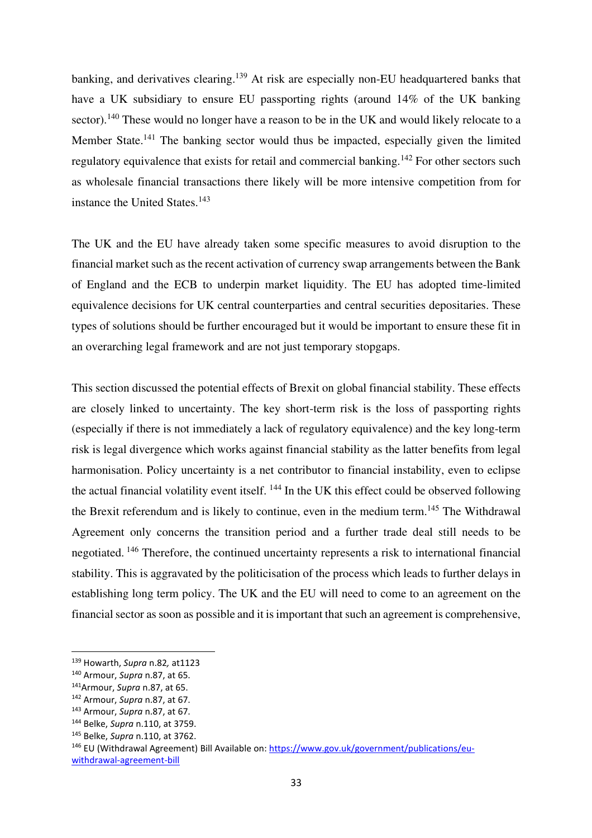banking, and derivatives clearing.<sup>139</sup> At risk are especially non-EU headquartered banks that have a UK subsidiary to ensure EU passporting rights (around 14% of the UK banking sector).<sup>140</sup> These would no longer have a reason to be in the UK and would likely relocate to a Member State.<sup>141</sup> The banking sector would thus be impacted, especially given the limited regulatory equivalence that exists for retail and commercial banking.<sup>142</sup> For other sectors such as wholesale financial transactions there likely will be more intensive competition from for instance the United States.<sup>143</sup>

The UK and the EU have already taken some specific measures to avoid disruption to the financial market such as the recent activation of currency swap arrangements between the Bank of England and the ECB to underpin market liquidity. The EU has adopted time-limited equivalence decisions for UK central counterparties and central securities depositaries. These types of solutions should be further encouraged but it would be important to ensure these fit in an overarching legal framework and are not just temporary stopgaps.

This section discussed the potential effects of Brexit on global financial stability. These effects are closely linked to uncertainty. The key short-term risk is the loss of passporting rights (especially if there is not immediately a lack of regulatory equivalence) and the key long-term risk is legal divergence which works against financial stability as the latter benefits from legal harmonisation. Policy uncertainty is a net contributor to financial instability, even to eclipse the actual financial volatility event itself. <sup>144</sup> In the UK this effect could be observed following the Brexit referendum and is likely to continue, even in the medium term.<sup>145</sup> The Withdrawal Agreement only concerns the transition period and a further trade deal still needs to be negotiated.<sup>146</sup> Therefore, the continued uncertainty represents a risk to international financial stability. This is aggravated by the politicisation of the process which leads to further delays in establishing long term policy. The UK and the EU will need to come to an agreement on the financial sector as soon as possible and it is important that such an agreement is comprehensive,

<sup>139</sup> Howarth, *Supra* n.82*,* at1123

<sup>140</sup> Armour, *Supra* n.87, at 65.

<sup>141</sup>Armour, *Supra* n.87, at 65.

<sup>142</sup> Armour, *Supra* n.87, at 67.

<sup>143</sup> Armour, *Supra* n.87, at 67.

<sup>144</sup> Belke, *Supra* n.110, at 3759.

<sup>145</sup> Belke, *Supra* n.110, at 3762.

<sup>146</sup> EU (Withdrawal Agreement) Bill Available on: https://www.gov.uk/government/publications/euwithdrawal-agreement-bill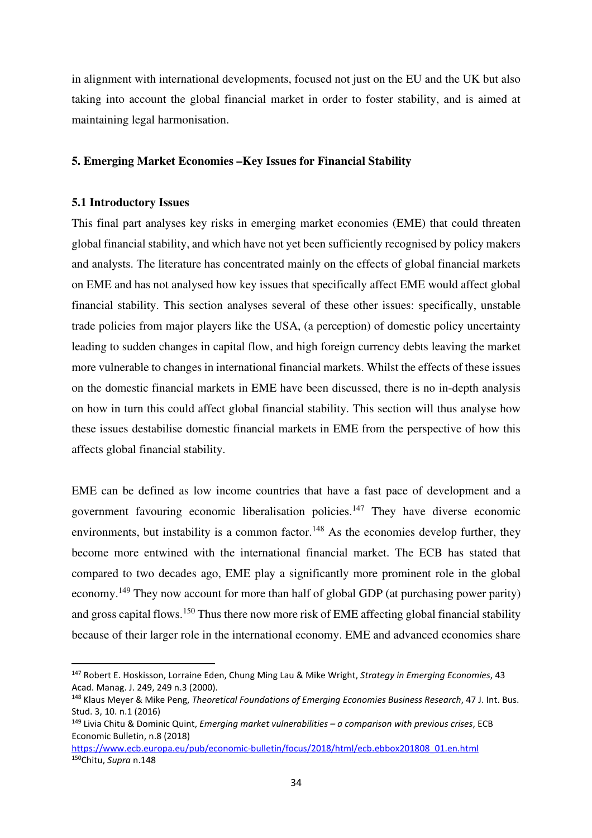in alignment with international developments, focused not just on the EU and the UK but also taking into account the global financial market in order to foster stability, and is aimed at maintaining legal harmonisation.

#### **5. Emerging Market Economies –Key Issues for Financial Stability**

#### **5.1 Introductory Issues**

This final part analyses key risks in emerging market economies (EME) that could threaten global financial stability, and which have not yet been sufficiently recognised by policy makers and analysts. The literature has concentrated mainly on the effects of global financial markets on EME and has not analysed how key issues that specifically affect EME would affect global financial stability. This section analyses several of these other issues: specifically, unstable trade policies from major players like the USA, (a perception) of domestic policy uncertainty leading to sudden changes in capital flow, and high foreign currency debts leaving the market more vulnerable to changes in international financial markets. Whilst the effects of these issues on the domestic financial markets in EME have been discussed, there is no in-depth analysis on how in turn this could affect global financial stability. This section will thus analyse how these issues destabilise domestic financial markets in EME from the perspective of how this affects global financial stability.

EME can be defined as low income countries that have a fast pace of development and a government favouring economic liberalisation policies.<sup>147</sup> They have diverse economic environments, but instability is a common factor.<sup>148</sup> As the economies develop further, they become more entwined with the international financial market. The ECB has stated that compared to two decades ago, EME play a significantly more prominent role in the global economy.<sup>149</sup> They now account for more than half of global GDP (at purchasing power parity) and gross capital flows.<sup>150</sup> Thus there now more risk of EME affecting global financial stability because of their larger role in the international economy. EME and advanced economies share

<sup>147</sup> Robert E. Hoskisson, Lorraine Eden, Chung Ming Lau & Mike Wright, *Strategy in Emerging Economies*, 43 Acad. Manag. J. 249, 249 n.3 (2000).

<sup>148</sup> Klaus Meyer & Mike Peng, *Theoretical Foundations of Emerging Economies Business Research*, 47 J. Int. Bus. Stud. 3, 10. n.1 (2016)

<sup>149</sup> Livia Chitu & Dominic Quint, *Emerging market vulnerabilities – a comparison with previous crises*, ECB Economic Bulletin, n.8 (2018)

https://www.ecb.europa.eu/pub/economic-bulletin/focus/2018/html/ecb.ebbox201808\_01.en.html 150Chitu, *Supra* n.148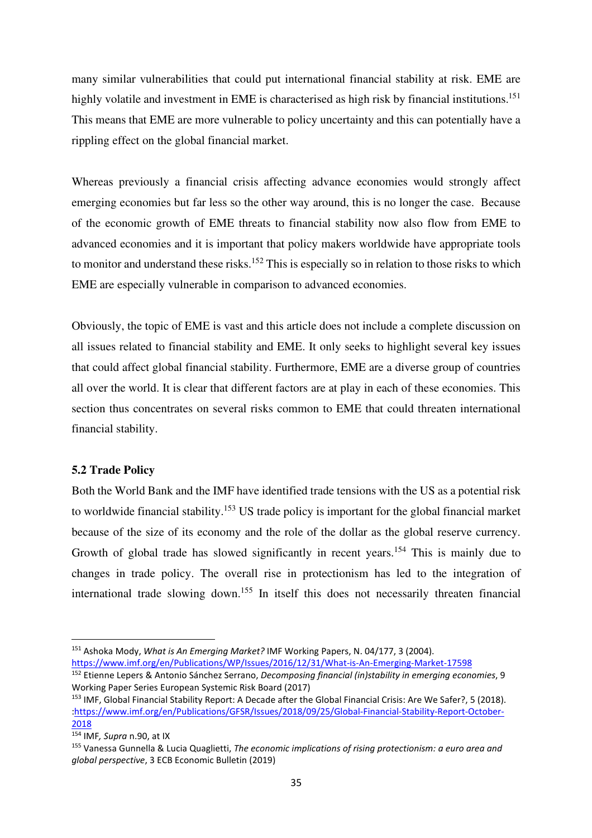many similar vulnerabilities that could put international financial stability at risk. EME are highly volatile and investment in EME is characterised as high risk by financial institutions.<sup>151</sup> This means that EME are more vulnerable to policy uncertainty and this can potentially have a rippling effect on the global financial market.

Whereas previously a financial crisis affecting advance economies would strongly affect emerging economies but far less so the other way around, this is no longer the case. Because of the economic growth of EME threats to financial stability now also flow from EME to advanced economies and it is important that policy makers worldwide have appropriate tools to monitor and understand these risks.<sup>152</sup> This is especially so in relation to those risks to which EME are especially vulnerable in comparison to advanced economies.

Obviously, the topic of EME is vast and this article does not include a complete discussion on all issues related to financial stability and EME. It only seeks to highlight several key issues that could affect global financial stability. Furthermore, EME are a diverse group of countries all over the world. It is clear that different factors are at play in each of these economies. This section thus concentrates on several risks common to EME that could threaten international financial stability.

## **5.2 Trade Policy**

Both the World Bank and the IMF have identified trade tensions with the US as a potential risk to worldwide financial stability.<sup>153</sup> US trade policy is important for the global financial market because of the size of its economy and the role of the dollar as the global reserve currency. Growth of global trade has slowed significantly in recent years.<sup>154</sup> This is mainly due to changes in trade policy. The overall rise in protectionism has led to the integration of international trade slowing down.<sup>155</sup> In itself this does not necessarily threaten financial

https://www.imf.org/en/Publications/WP/Issues/2016/12/31/What-is-An-Emerging-Market-17598

<sup>151</sup> Ashoka Mody, *What is An Emerging Market?* IMF Working Papers, N. 04/177, 3 (2004).

<sup>152</sup> Etienne Lepers & Antonio Sánchez Serrano, *Decomposing financial (in)stability in emerging economies*, 9 Working Paper Series European Systemic Risk Board (2017)

<sup>&</sup>lt;sup>153</sup> IMF, Global Financial Stability Report: A Decade after the Global Financial Crisis: Are We Safer?, 5 (2018). :https://www.imf.org/en/Publications/GFSR/Issues/2018/09/25/Global-Financial-Stability-Report-October-2018

<sup>154</sup> IMF*, Supra* n.90, at IX

<sup>155</sup> Vanessa Gunnella & Lucia Quaglietti, *The economic implications of rising protectionism: a euro area and global perspective*, 3 ECB Economic Bulletin (2019)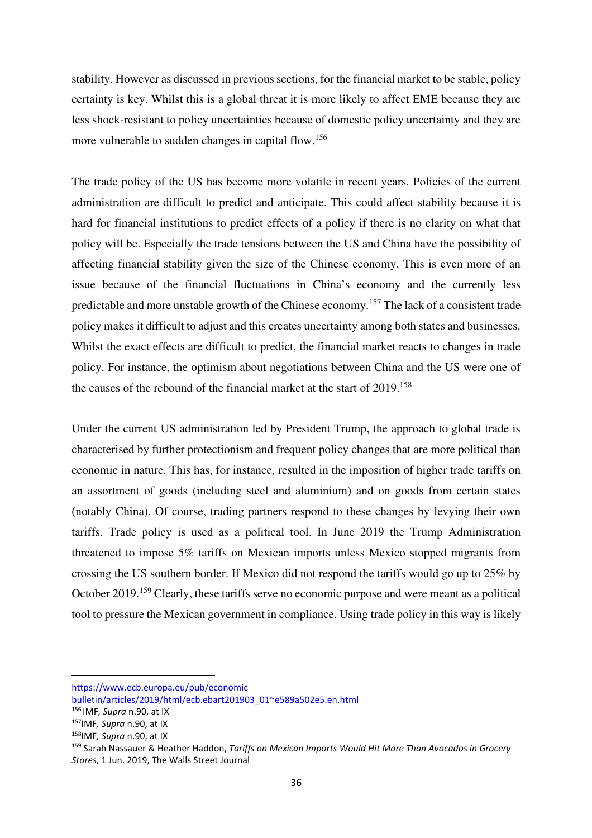stability. However as discussed in previous sections, for the financial market to be stable, policy certainty is key. Whilst this is a global threat it is more likely to affect EME because they are less shock-resistant to policy uncertainties because of domestic policy uncertainty and they are more vulnerable to sudden changes in capital flow.<sup>156</sup>

The trade policy of the US has become more volatile in recent years. Policies of the current administration are difficult to predict and anticipate. This could affect stability because it is hard for financial institutions to predict effects of a policy if there is no clarity on what that policy will be. Especially the trade tensions between the US and China have the possibility of affecting financial stability given the size of the Chinese economy. This is even more of an issue because of the financial fluctuations in China's economy and the currently less predictable and more unstable growth of the Chinese economy.<sup>157</sup> The lack of a consistent trade policy makes it difficult to adjust and this creates uncertainty among both states and businesses. Whilst the exact effects are difficult to predict, the financial market reacts to changes in trade policy. For instance, the optimism about negotiations between China and the US were one of the causes of the rebound of the financial market at the start of 2019.<sup>158</sup>

Under the current US administration led by President Trump, the approach to global trade is characterised by further protectionism and frequent policy changes that are more political than economic in nature. This has, for instance, resulted in the imposition of higher trade tariffs on an assortment of goods (including steel and aluminium) and on goods from certain states (notably China). Of course, trading partners respond to these changes by levying their own tariffs. Trade policy is used as a political tool. In June 2019 the Trump Administration threatened to impose 5% tariffs on Mexican imports unless Mexico stopped migrants from crossing the US southern border. If Mexico did not respond the tariffs would go up to 25% by October 2019.<sup>159</sup> Clearly, these tariffs serve no economic purpose and were meant as a political tool to pressure the Mexican government in compliance. Using trade policy in this way is likely

https://www.ecb.europa.eu/pub/economic

bulletin/articles/2019/html/ecb.ebart201903\_01~e589a502e5.en.html

<sup>156</sup>IMF*, Supra* n.90, at IX

<sup>157</sup>IMF*, Supra* n.90, at IX

<sup>158</sup>IMF*, Supra* n.90, at IX

<sup>159</sup> Sarah Nassauer & Heather Haddon, *Tariffs on Mexican Imports Would Hit More Than Avocados in Grocery Stores*, 1 Jun. 2019, The Walls Street Journal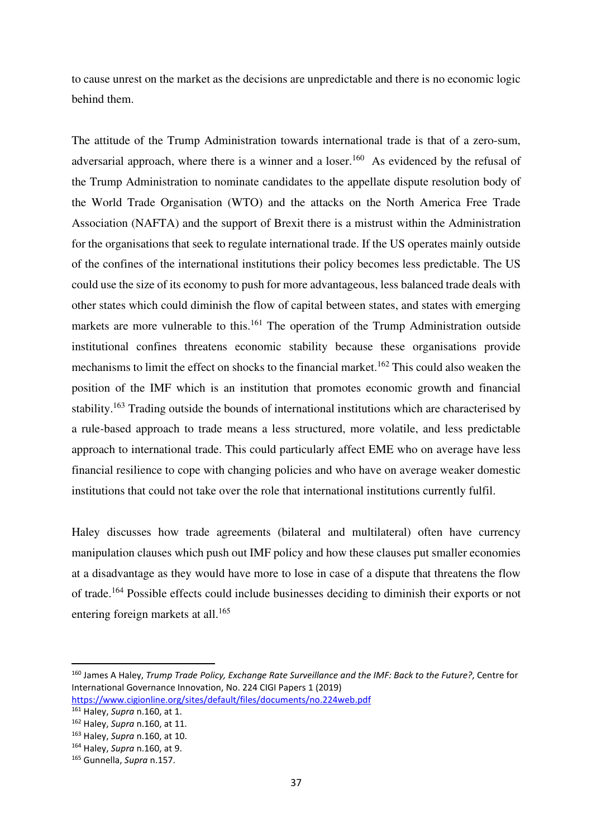to cause unrest on the market as the decisions are unpredictable and there is no economic logic behind them.

The attitude of the Trump Administration towards international trade is that of a zero-sum, adversarial approach, where there is a winner and a loser.<sup>160</sup> As evidenced by the refusal of the Trump Administration to nominate candidates to the appellate dispute resolution body of the World Trade Organisation (WTO) and the attacks on the North America Free Trade Association (NAFTA) and the support of Brexit there is a mistrust within the Administration for the organisations that seek to regulate international trade. If the US operates mainly outside of the confines of the international institutions their policy becomes less predictable. The US could use the size of its economy to push for more advantageous, less balanced trade deals with other states which could diminish the flow of capital between states, and states with emerging markets are more vulnerable to this.<sup>161</sup> The operation of the Trump Administration outside institutional confines threatens economic stability because these organisations provide mechanisms to limit the effect on shocks to the financial market.<sup>162</sup> This could also weaken the position of the IMF which is an institution that promotes economic growth and financial stability.<sup>163</sup> Trading outside the bounds of international institutions which are characterised by a rule-based approach to trade means a less structured, more volatile, and less predictable approach to international trade. This could particularly affect EME who on average have less financial resilience to cope with changing policies and who have on average weaker domestic institutions that could not take over the role that international institutions currently fulfil.

Haley discusses how trade agreements (bilateral and multilateral) often have currency manipulation clauses which push out IMF policy and how these clauses put smaller economies at a disadvantage as they would have more to lose in case of a dispute that threatens the flow of trade.<sup>164</sup> Possible effects could include businesses deciding to diminish their exports or not entering foreign markets at all.<sup>165</sup>

<sup>160</sup> James A Haley, *Trump Trade Policy, Exchange Rate Surveillance and the IMF: Back to the Future?*, Centre for International Governance Innovation, No. 224 CIGI Papers 1 (2019)

https://www.cigionline.org/sites/default/files/documents/no.224web.pdf

<sup>161</sup> Haley, *Supra* n.160, at 1.

<sup>162</sup> Haley, *Supra* n.160, at 11.

<sup>163</sup> Haley, *Supra* n.160, at 10.

<sup>164</sup> Haley, *Supra* n.160, at 9.

<sup>165</sup> Gunnella, *Supra* n.157.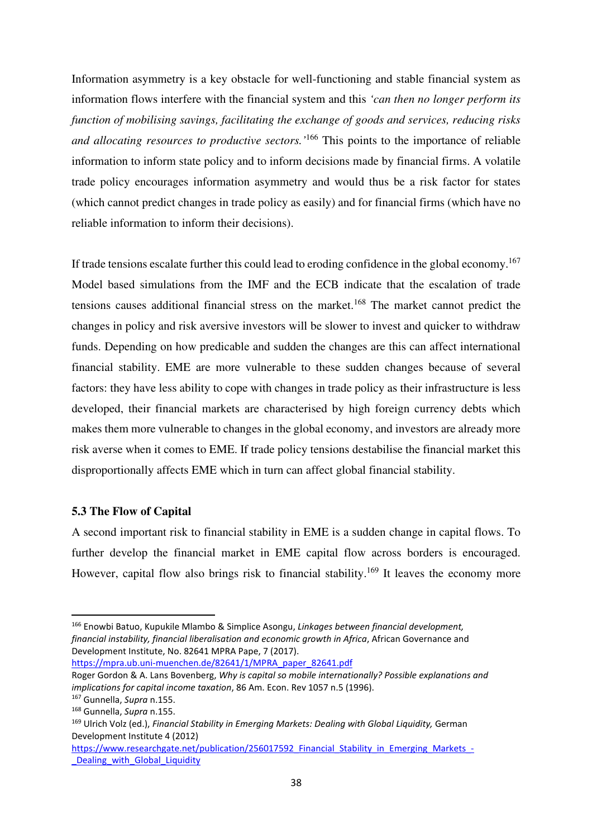Information asymmetry is a key obstacle for well-functioning and stable financial system as information flows interfere with the financial system and this *'can then no longer perform its function of mobilising savings, facilitating the exchange of goods and services, reducing risks and allocating resources to productive sectors.'*<sup>166</sup> This points to the importance of reliable information to inform state policy and to inform decisions made by financial firms. A volatile trade policy encourages information asymmetry and would thus be a risk factor for states (which cannot predict changes in trade policy as easily) and for financial firms (which have no reliable information to inform their decisions).

If trade tensions escalate further this could lead to eroding confidence in the global economy.<sup>167</sup> Model based simulations from the IMF and the ECB indicate that the escalation of trade tensions causes additional financial stress on the market.<sup>168</sup> The market cannot predict the changes in policy and risk aversive investors will be slower to invest and quicker to withdraw funds. Depending on how predicable and sudden the changes are this can affect international financial stability. EME are more vulnerable to these sudden changes because of several factors: they have less ability to cope with changes in trade policy as their infrastructure is less developed, their financial markets are characterised by high foreign currency debts which makes them more vulnerable to changes in the global economy, and investors are already more risk averse when it comes to EME. If trade policy tensions destabilise the financial market this disproportionally affects EME which in turn can affect global financial stability.

## **5.3 The Flow of Capital**

A second important risk to financial stability in EME is a sudden change in capital flows. To further develop the financial market in EME capital flow across borders is encouraged. However, capital flow also brings risk to financial stability.<sup>169</sup> It leaves the economy more

https://mpra.ub.uni-muenchen.de/82641/1/MPRA\_paper\_82641.pdf

<sup>166</sup> Enowbi Batuo, Kupukile Mlambo & Simplice Asongu, *Linkages between financial development, financial instability, financial liberalisation and economic growth in Africa*, African Governance and Development Institute, No. 82641 MPRA Pape, 7 (2017).

Roger Gordon & A. Lans Bovenberg, *Why is capital so mobile internationally? Possible explanations and implications for capital income taxation*, 86 Am. Econ. Rev 1057 n.5 (1996).

<sup>167</sup> Gunnella, *Supra* n.155.

<sup>168</sup> Gunnella, *Supra* n.155.

<sup>169</sup> Ulrich Volz (ed.), *Financial Stability in Emerging Markets: Dealing with Global Liquidity,* German Development Institute 4 (2012)

https://www.researchgate.net/publication/256017592 Financial Stability in Emerging Markets -Dealing with Global Liquidity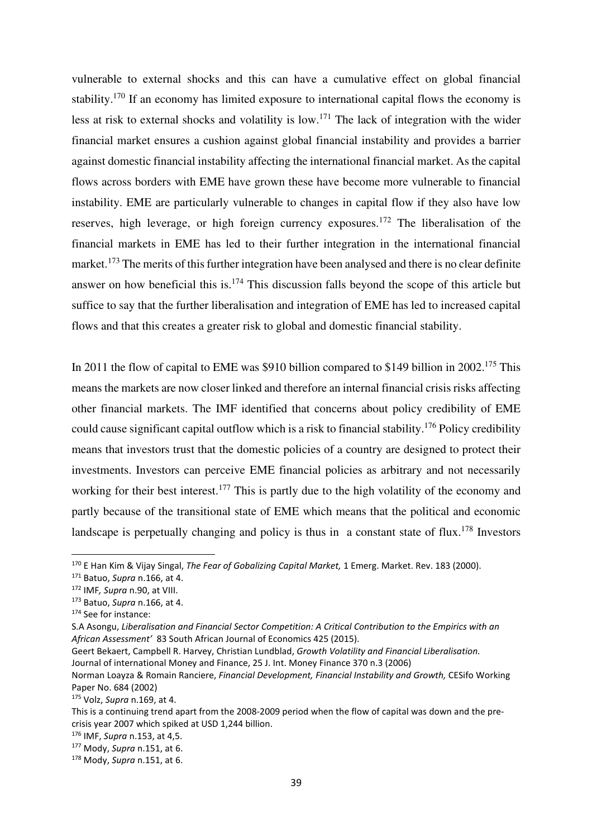vulnerable to external shocks and this can have a cumulative effect on global financial stability.<sup>170</sup> If an economy has limited exposure to international capital flows the economy is less at risk to external shocks and volatility is low.<sup>171</sup> The lack of integration with the wider financial market ensures a cushion against global financial instability and provides a barrier against domestic financial instability affecting the international financial market. As the capital flows across borders with EME have grown these have become more vulnerable to financial instability. EME are particularly vulnerable to changes in capital flow if they also have low reserves, high leverage, or high foreign currency exposures.<sup>172</sup> The liberalisation of the financial markets in EME has led to their further integration in the international financial market.<sup>173</sup> The merits of this further integration have been analysed and there is no clear definite answer on how beneficial this is.<sup>174</sup> This discussion falls beyond the scope of this article but suffice to say that the further liberalisation and integration of EME has led to increased capital flows and that this creates a greater risk to global and domestic financial stability.

In 2011 the flow of capital to EME was \$910 billion compared to \$149 billion in 2002.<sup>175</sup> This means the markets are now closer linked and therefore an internal financial crisis risks affecting other financial markets. The IMF identified that concerns about policy credibility of EME could cause significant capital outflow which is a risk to financial stability.<sup>176</sup> Policy credibility means that investors trust that the domestic policies of a country are designed to protect their investments. Investors can perceive EME financial policies as arbitrary and not necessarily working for their best interest.<sup>177</sup> This is partly due to the high volatility of the economy and partly because of the transitional state of EME which means that the political and economic landscape is perpetually changing and policy is thus in a constant state of flux.<sup>178</sup> Investors

<sup>170</sup> E Han Kim & Vijay Singal, *The Fear of Gobalizing Capital Market,* 1 Emerg. Market. Rev. 183 (2000).

<sup>171</sup> Batuo, *Supra* n.166, at 4.

<sup>172</sup> IMF*, Supra* n.90, at VIII.

<sup>173</sup> Batuo, *Supra* n.166, at 4.

<sup>174</sup> See for instance:

S.A Asongu, *Liberalisation and Financial Sector Competition: A Critical Contribution to the Empirics with an African Assessment'* 83 South African Journal of Economics 425 (2015).

Geert Bekaert, Campbell R. Harvey, Christian Lundblad, *Growth Volatility and Financial Liberalisation.*  Journal of international Money and Finance, 25 J. Int. Money Finance 370 n.3 (2006)

Norman Loayza & Romain Ranciere, *Financial Development, Financial Instability and Growth,* CESifo Working Paper No. 684 (2002)

<sup>175</sup> Volz, *Supra* n.169, at 4.

This is a continuing trend apart from the 2008-2009 period when the flow of capital was down and the precrisis year 2007 which spiked at USD 1,244 billion.

<sup>176</sup> IMF, *Supra* n.153, at 4,5.

<sup>177</sup> Mody, *Supra* n.151, at 6.

<sup>178</sup> Mody, *Supra* n.151, at 6.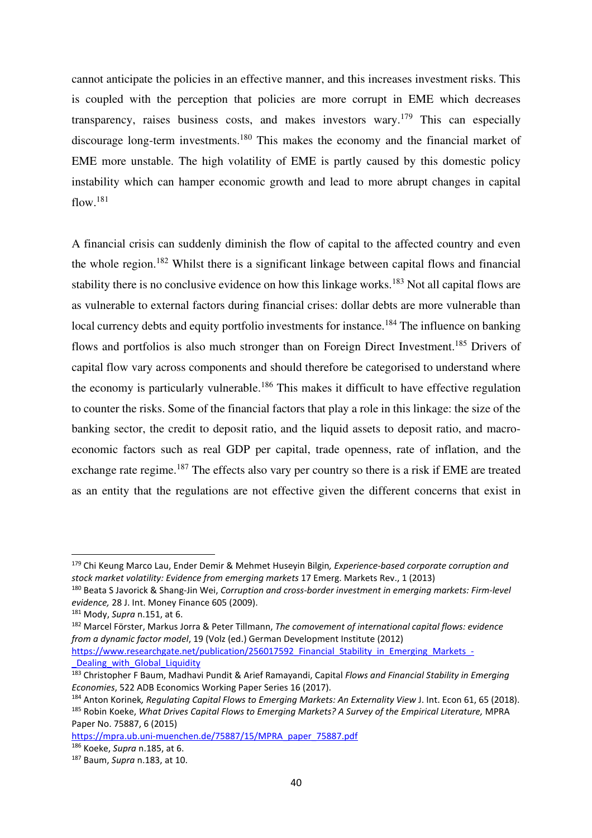cannot anticipate the policies in an effective manner, and this increases investment risks. This is coupled with the perception that policies are more corrupt in EME which decreases transparency, raises business costs, and makes investors wary.<sup>179</sup> This can especially discourage long-term investments.<sup>180</sup> This makes the economy and the financial market of EME more unstable. The high volatility of EME is partly caused by this domestic policy instability which can hamper economic growth and lead to more abrupt changes in capital flow.<sup>181</sup>

A financial crisis can suddenly diminish the flow of capital to the affected country and even the whole region.<sup>182</sup> Whilst there is a significant linkage between capital flows and financial stability there is no conclusive evidence on how this linkage works.<sup>183</sup> Not all capital flows are as vulnerable to external factors during financial crises: dollar debts are more vulnerable than local currency debts and equity portfolio investments for instance.<sup>184</sup> The influence on banking flows and portfolios is also much stronger than on Foreign Direct Investment.<sup>185</sup> Drivers of capital flow vary across components and should therefore be categorised to understand where the economy is particularly vulnerable.<sup>186</sup> This makes it difficult to have effective regulation to counter the risks. Some of the financial factors that play a role in this linkage: the size of the banking sector, the credit to deposit ratio, and the liquid assets to deposit ratio, and macroeconomic factors such as real GDP per capital, trade openness, rate of inflation, and the exchange rate regime.<sup>187</sup> The effects also vary per country so there is a risk if EME are treated as an entity that the regulations are not effective given the different concerns that exist in

<sup>179</sup> Chi Keung Marco Lau, Ender Demir & Mehmet Huseyin Bilgin*, Experience-based corporate corruption and stock market volatility: Evidence from emerging markets* 17 Emerg. Markets Rev., 1 (2013)

<sup>180</sup> Beata S Javorick & Shang-Jin Wei, *Corruption and cross-border investment in emerging markets: Firm-level evidence,* 28 J. Int. Money Finance 605 (2009).

<sup>181</sup> Mody, *Supra* n.151, at 6.

<sup>182</sup> Marcel Förster, Markus Jorra & Peter Tillmann, *The comovement of international capital flows: evidence from a dynamic factor model*, 19 (Volz (ed.) German Development Institute (2012)

https://www.researchgate.net/publication/256017592 Financial Stability in Emerging Markets -Dealing with Global Liquidity

<sup>183</sup> Christopher F Baum, Madhavi Pundit & Arief Ramayandi, Capital *Flows and Financial Stability in Emerging Economies*, 522 ADB Economics Working Paper Series 16 (2017).

<sup>184</sup> Anton Korinek*, Regulating Capital Flows to Emerging Markets: An Externality View* J. Int. Econ 61, 65 (2018). <sup>185</sup> Robin Koeke, *What Drives Capital Flows to Emerging Markets? A Survey of the Empirical Literature,* MPRA

Paper No. 75887, 6 (2015)

https://mpra.ub.uni-muenchen.de/75887/15/MPRA\_paper\_75887.pdf <sup>186</sup> Koeke, *Supra* n.185, at 6.

<sup>187</sup> Baum, *Supra* n.183, at 10.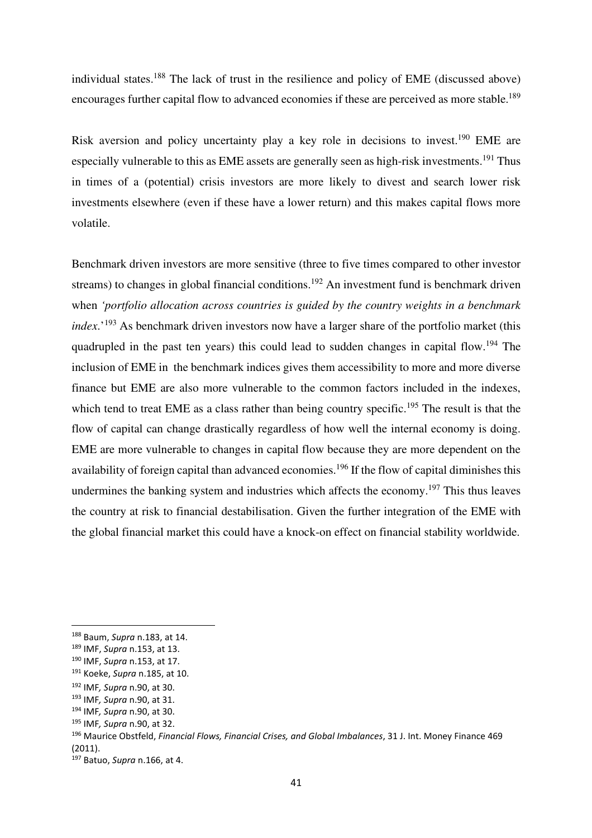individual states.<sup>188</sup> The lack of trust in the resilience and policy of EME (discussed above) encourages further capital flow to advanced economies if these are perceived as more stable.<sup>189</sup>

Risk aversion and policy uncertainty play a key role in decisions to invest.<sup>190</sup> EME are especially vulnerable to this as EME assets are generally seen as high-risk investments.<sup>191</sup> Thus in times of a (potential) crisis investors are more likely to divest and search lower risk investments elsewhere (even if these have a lower return) and this makes capital flows more volatile.

Benchmark driven investors are more sensitive (three to five times compared to other investor streams) to changes in global financial conditions.<sup>192</sup> An investment fund is benchmark driven when *'portfolio allocation across countries is guided by the country weights in a benchmark index*.<sup>'193</sup> As benchmark driven investors now have a larger share of the portfolio market (this quadrupled in the past ten years) this could lead to sudden changes in capital flow.<sup>194</sup> The inclusion of EME in the benchmark indices gives them accessibility to more and more diverse finance but EME are also more vulnerable to the common factors included in the indexes, which tend to treat EME as a class rather than being country specific.<sup>195</sup> The result is that the flow of capital can change drastically regardless of how well the internal economy is doing. EME are more vulnerable to changes in capital flow because they are more dependent on the availability of foreign capital than advanced economies.<sup>196</sup> If the flow of capital diminishes this undermines the banking system and industries which affects the economy.<sup>197</sup> This thus leaves the country at risk to financial destabilisation. Given the further integration of the EME with the global financial market this could have a knock-on effect on financial stability worldwide.

<sup>188</sup> Baum, *Supra* n.183, at 14.

<sup>189</sup> IMF, *Supra* n.153, at 13.

<sup>190</sup> IMF, *Supra* n.153, at 17.

<sup>191</sup> Koeke, *Supra* n.185, at 10.

<sup>192</sup> IMF*, Supra* n.90, at 30.

<sup>193</sup> IMF*, Supra* n.90, at 31.

<sup>194</sup> IMF*, Supra* n.90, at 30.

<sup>195</sup> IMF*, Supra* n.90, at 32.

<sup>196</sup> Maurice Obstfeld, *Financial Flows, Financial Crises, and Global Imbalances*, 31 J. Int. Money Finance 469 (2011).

<sup>197</sup> Batuo, *Supra* n.166, at 4.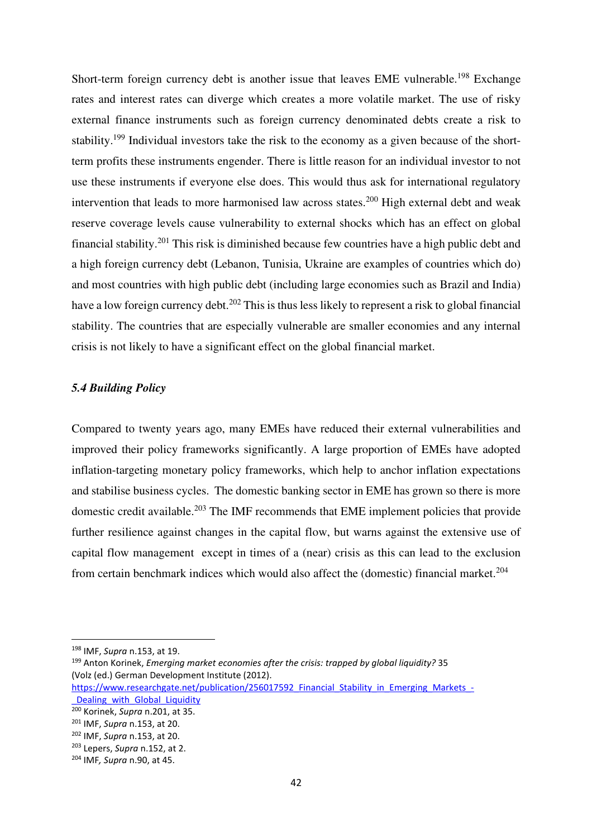Short-term foreign currency debt is another issue that leaves EME vulnerable.<sup>198</sup> Exchange rates and interest rates can diverge which creates a more volatile market. The use of risky external finance instruments such as foreign currency denominated debts create a risk to stability.<sup>199</sup> Individual investors take the risk to the economy as a given because of the shortterm profits these instruments engender. There is little reason for an individual investor to not use these instruments if everyone else does. This would thus ask for international regulatory intervention that leads to more harmonised law across states.<sup>200</sup> High external debt and weak reserve coverage levels cause vulnerability to external shocks which has an effect on global financial stability.<sup>201</sup> This risk is diminished because few countries have a high public debt and a high foreign currency debt (Lebanon, Tunisia, Ukraine are examples of countries which do) and most countries with high public debt (including large economies such as Brazil and India) have a low foreign currency debt.<sup>202</sup> This is thus less likely to represent a risk to global financial stability. The countries that are especially vulnerable are smaller economies and any internal crisis is not likely to have a significant effect on the global financial market.

## *5.4 Building Policy*

Compared to twenty years ago, many EMEs have reduced their external vulnerabilities and improved their policy frameworks significantly. A large proportion of EMEs have adopted inflation-targeting monetary policy frameworks, which help to anchor inflation expectations and stabilise business cycles. The domestic banking sector in EME has grown so there is more domestic credit available.<sup>203</sup> The IMF recommends that EME implement policies that provide further resilience against changes in the capital flow, but warns against the extensive use of capital flow management except in times of a (near) crisis as this can lead to the exclusion from certain benchmark indices which would also affect the (domestic) financial market.<sup>204</sup>

<sup>198</sup> IMF, *Supra* n.153, at 19.

<sup>199</sup> Anton Korinek, *Emerging market economies after the crisis: trapped by global liquidity?* 35 (Volz (ed.) German Development Institute (2012).

https://www.researchgate.net/publication/256017592 Financial Stability in Emerging Markets -Dealing with Global Liquidity

<sup>200</sup> Korinek, *Supra* n.201, at 35.

<sup>201</sup> IMF, *Supra* n.153, at 20.

<sup>202</sup> IMF, *Supra* n.153, at 20.

<sup>203</sup> Lepers, *Supra* n.152, at 2.

<sup>204</sup> IMF*, Supra* n.90, at 45.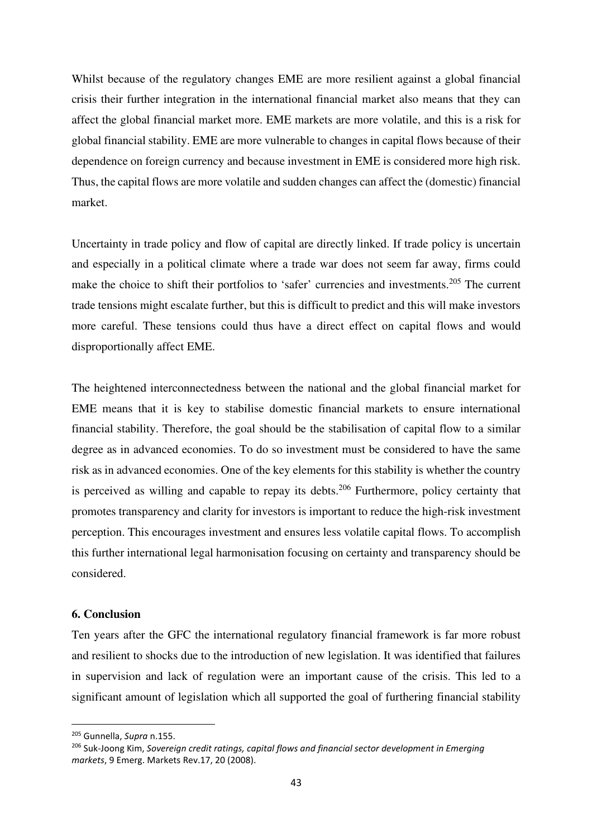Whilst because of the regulatory changes EME are more resilient against a global financial crisis their further integration in the international financial market also means that they can affect the global financial market more. EME markets are more volatile, and this is a risk for global financial stability. EME are more vulnerable to changes in capital flows because of their dependence on foreign currency and because investment in EME is considered more high risk. Thus, the capital flows are more volatile and sudden changes can affect the (domestic) financial market.

Uncertainty in trade policy and flow of capital are directly linked. If trade policy is uncertain and especially in a political climate where a trade war does not seem far away, firms could make the choice to shift their portfolios to 'safer' currencies and investments.<sup>205</sup> The current trade tensions might escalate further, but this is difficult to predict and this will make investors more careful. These tensions could thus have a direct effect on capital flows and would disproportionally affect EME.

The heightened interconnectedness between the national and the global financial market for EME means that it is key to stabilise domestic financial markets to ensure international financial stability. Therefore, the goal should be the stabilisation of capital flow to a similar degree as in advanced economies. To do so investment must be considered to have the same risk as in advanced economies. One of the key elements for this stability is whether the country is perceived as willing and capable to repay its debts.<sup>206</sup> Furthermore, policy certainty that promotes transparency and clarity for investors is important to reduce the high-risk investment perception. This encourages investment and ensures less volatile capital flows. To accomplish this further international legal harmonisation focusing on certainty and transparency should be considered.

## **6. Conclusion**

Ten years after the GFC the international regulatory financial framework is far more robust and resilient to shocks due to the introduction of new legislation. It was identified that failures in supervision and lack of regulation were an important cause of the crisis. This led to a significant amount of legislation which all supported the goal of furthering financial stability

<sup>205</sup> Gunnella, *Supra* n.155.

<sup>206</sup> Suk-Joong Kim, *Sovereign credit ratings, capital flows and financial sector development in Emerging markets*, 9 Emerg. Markets Rev.17, 20 (2008).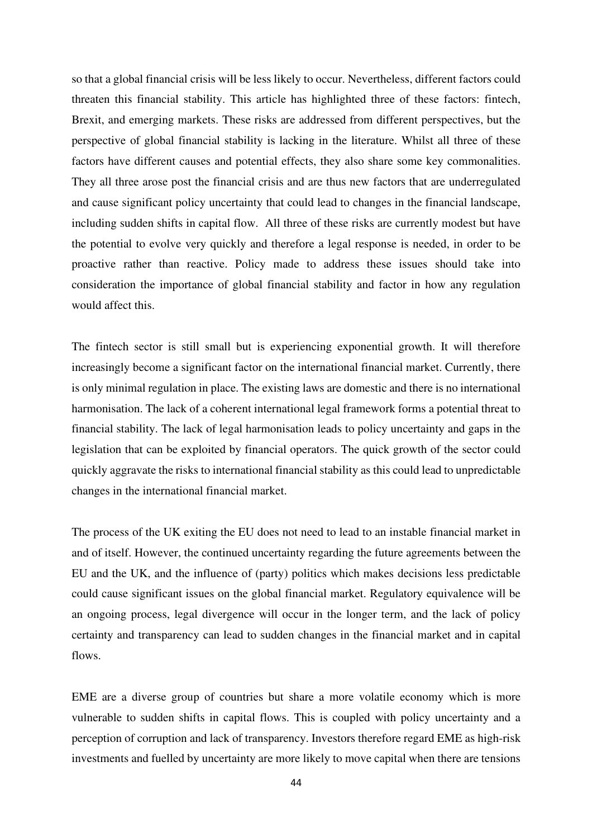so that a global financial crisis will be less likely to occur. Nevertheless, different factors could threaten this financial stability. This article has highlighted three of these factors: fintech, Brexit, and emerging markets. These risks are addressed from different perspectives, but the perspective of global financial stability is lacking in the literature. Whilst all three of these factors have different causes and potential effects, they also share some key commonalities. They all three arose post the financial crisis and are thus new factors that are underregulated and cause significant policy uncertainty that could lead to changes in the financial landscape, including sudden shifts in capital flow. All three of these risks are currently modest but have the potential to evolve very quickly and therefore a legal response is needed, in order to be proactive rather than reactive. Policy made to address these issues should take into consideration the importance of global financial stability and factor in how any regulation would affect this.

The fintech sector is still small but is experiencing exponential growth. It will therefore increasingly become a significant factor on the international financial market. Currently, there is only minimal regulation in place. The existing laws are domestic and there is no international harmonisation. The lack of a coherent international legal framework forms a potential threat to financial stability. The lack of legal harmonisation leads to policy uncertainty and gaps in the legislation that can be exploited by financial operators. The quick growth of the sector could quickly aggravate the risks to international financial stability as this could lead to unpredictable changes in the international financial market.

The process of the UK exiting the EU does not need to lead to an instable financial market in and of itself. However, the continued uncertainty regarding the future agreements between the EU and the UK, and the influence of (party) politics which makes decisions less predictable could cause significant issues on the global financial market. Regulatory equivalence will be an ongoing process, legal divergence will occur in the longer term, and the lack of policy certainty and transparency can lead to sudden changes in the financial market and in capital flows.

EME are a diverse group of countries but share a more volatile economy which is more vulnerable to sudden shifts in capital flows. This is coupled with policy uncertainty and a perception of corruption and lack of transparency. Investors therefore regard EME as high-risk investments and fuelled by uncertainty are more likely to move capital when there are tensions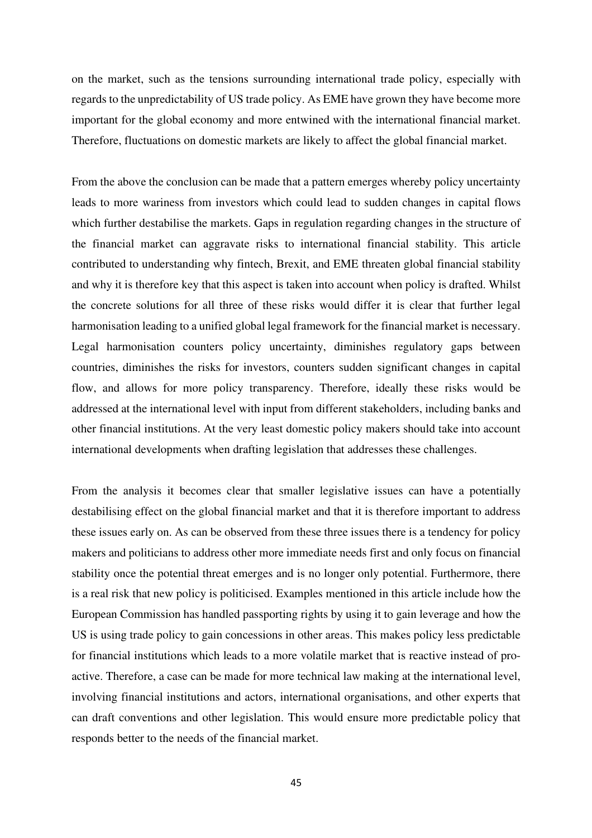on the market, such as the tensions surrounding international trade policy, especially with regards to the unpredictability of US trade policy. As EME have grown they have become more important for the global economy and more entwined with the international financial market. Therefore, fluctuations on domestic markets are likely to affect the global financial market.

From the above the conclusion can be made that a pattern emerges whereby policy uncertainty leads to more wariness from investors which could lead to sudden changes in capital flows which further destabilise the markets. Gaps in regulation regarding changes in the structure of the financial market can aggravate risks to international financial stability. This article contributed to understanding why fintech, Brexit, and EME threaten global financial stability and why it is therefore key that this aspect is taken into account when policy is drafted. Whilst the concrete solutions for all three of these risks would differ it is clear that further legal harmonisation leading to a unified global legal framework for the financial market is necessary. Legal harmonisation counters policy uncertainty, diminishes regulatory gaps between countries, diminishes the risks for investors, counters sudden significant changes in capital flow, and allows for more policy transparency. Therefore, ideally these risks would be addressed at the international level with input from different stakeholders, including banks and other financial institutions. At the very least domestic policy makers should take into account international developments when drafting legislation that addresses these challenges.

From the analysis it becomes clear that smaller legislative issues can have a potentially destabilising effect on the global financial market and that it is therefore important to address these issues early on. As can be observed from these three issues there is a tendency for policy makers and politicians to address other more immediate needs first and only focus on financial stability once the potential threat emerges and is no longer only potential. Furthermore, there is a real risk that new policy is politicised. Examples mentioned in this article include how the European Commission has handled passporting rights by using it to gain leverage and how the US is using trade policy to gain concessions in other areas. This makes policy less predictable for financial institutions which leads to a more volatile market that is reactive instead of proactive. Therefore, a case can be made for more technical law making at the international level, involving financial institutions and actors, international organisations, and other experts that can draft conventions and other legislation. This would ensure more predictable policy that responds better to the needs of the financial market.